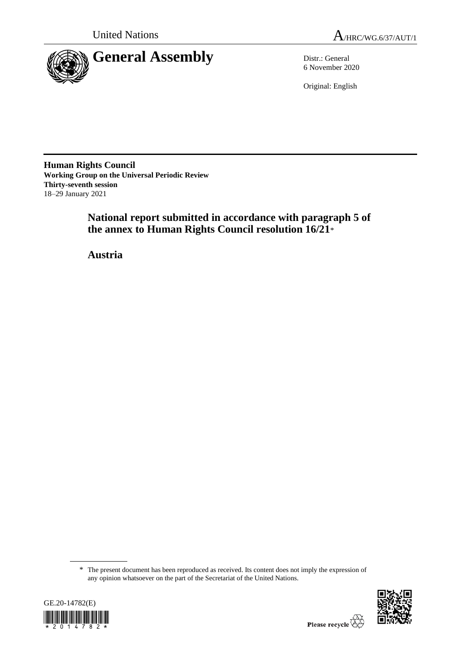

6 November 2020

Original: English

**Human Rights Council Working Group on the Universal Periodic Review Thirty-seventh session** 18–29 January 2021

> **National report submitted in accordance with paragraph 5 of the annex to Human Rights Council resolution 16/21**\*

**Austria**

<sup>\*</sup> The present document has been reproduced as received. Its content does not imply the expression of any opinion whatsoever on the part of the Secretariat of the United Nations.



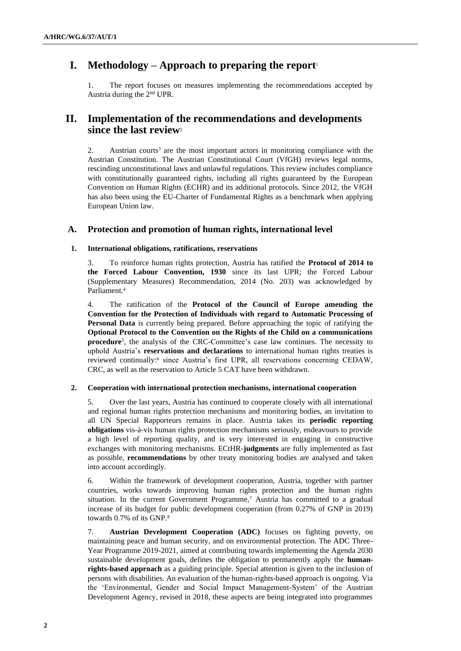# **I. Methodology – Approach to preparing the report**<sup>1</sup>

1. The report focuses on measures implementing the recommendations accepted by Austria during the 2nd UPR.

# **II. Implementation of the recommendations and developments since the last review**<sup>2</sup>

2. Austrian courts<sup>3</sup> are the most important actors in monitoring compliance with the Austrian Constitution. The Austrian Constitutional Court (VfGH) reviews legal norms, rescinding unconstitutional laws and unlawful regulations. This review includes compliance with constitutionally guaranteed rights, including all rights guaranteed by the European Convention on Human Rights (ECHR) and its additional protocols. Since 2012, the VfGH has also been using the EU-Charter of Fundamental Rights as a benchmark when applying European Union law.

# **A. Protection and promotion of human rights, international level**

# **1. International obligations, ratifications, reservations**

3. To reinforce human rights protection, Austria has ratified the **Protocol of 2014 to the Forced Labour Convention, 1930** since its last UPR; the Forced Labour (Supplementary Measures) Recommendation, 2014 (No. 203) was acknowledged by Parliament.<sup>4</sup>

4. The ratification of the **Protocol of the Council of Europe amending the Convention for the Protection of Individuals with regard to Automatic Processing of Personal Data** is currently being prepared. Before approaching the topic of ratifying the **Optional Protocol to the Convention on the Rights of the Child on a communications procedure**<sup>5</sup> , the analysis of the CRC-Committee's case law continues. The necessity to uphold Austria's **reservations and declarations** to international human rights treaties is reviewed continually:<sup>6</sup> since Austria's first UPR, all reservations concerning CEDAW, CRC, as well as the reservation to Article 5 CAT have been withdrawn.

## **2. Cooperation with international protection mechanisms, international cooperation**

5. Over the last years, Austria has continued to cooperate closely with all international and regional human rights protection mechanisms and monitoring bodies, an invitation to all UN Special Rapporteurs remains in place. Austria takes its **periodic reporting obligations** vis-à-vis human rights protection mechanisms seriously, endeavours to provide a high level of reporting quality, and is very interested in engaging in constructive exchanges with monitoring mechanisms. ECtHR-**judgments** are fully implemented as fast as possible, **recommendations** by other treaty monitoring bodies are analysed and taken into account accordingly.

6. Within the framework of development cooperation, Austria, together with partner countries, works towards improving human rights protection and the human rights situation. In the current Government Programme,<sup>7</sup> Austria has committed to a gradual increase of its budget for public development cooperation (from 0.27% of GNP in 2019) towards 0.7% of its GNP.<sup>8</sup>

7. **Austrian Development Cooperation (ADC)** focuses on fighting poverty, on maintaining peace and human security, and on environmental protection. The ADC Three-Year Programme 2019-2021, aimed at contributing towards implementing the Agenda 2030 sustainable development goals, defines the obligation to permanently apply the **humanrights-based approach** as a guiding principle. Special attention is given to the inclusion of persons with disabilities. An evaluation of the human-rights-based approach is ongoing. Via the 'Environmental, Gender and Social Impact Management-System' of the Austrian Development Agency, revised in 2018, these aspects are being integrated into programmes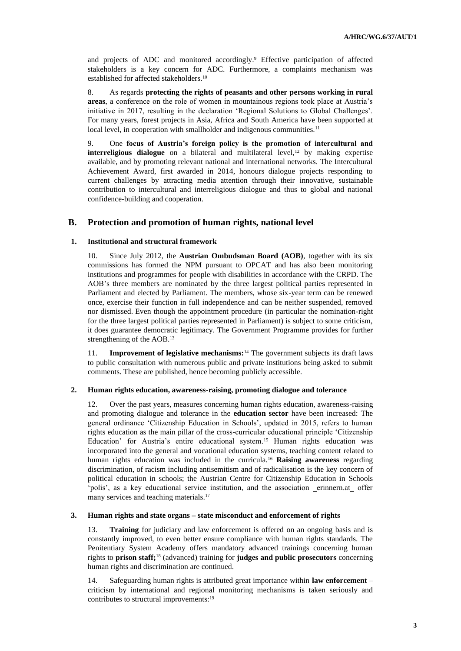and projects of ADC and monitored accordingly.<sup>9</sup> Effective participation of affected stakeholders is a key concern for ADC. Furthermore, a complaints mechanism was established for affected stakeholders.<sup>10</sup>

8. As regards **protecting the rights of peasants and other persons working in rural areas**, a conference on the role of women in mountainous regions took place at Austria's initiative in 2017, resulting in the declaration 'Regional Solutions to Global Challenges'. For many years, forest projects in Asia, Africa and South America have been supported at local level, in cooperation with smallholder and indigenous communities.<sup>11</sup>

9. One **focus of Austria's foreign policy is the promotion of intercultural and interreligious dialogue** on a bilateral and multilateral level,<sup>12</sup> by making expertise available, and by promoting relevant national and international networks. The Intercultural Achievement Award, first awarded in 2014, honours dialogue projects responding to current challenges by attracting media attention through their innovative, sustainable contribution to intercultural and interreligious dialogue and thus to global and national confidence-building and cooperation.

# **B. Protection and promotion of human rights, national level**

#### **1. Institutional and structural framework**

10. Since July 2012, the **Austrian Ombudsman Board (AOB)**, together with its six commissions has formed the NPM pursuant to OPCAT and has also been monitoring institutions and programmes for people with disabilities in accordance with the CRPD. The AOB's three members are nominated by the three largest political parties represented in Parliament and elected by Parliament. The members, whose six-year term can be renewed once, exercise their function in full independence and can be neither suspended, removed nor dismissed. Even though the appointment procedure (in particular the nomination-right for the three largest political parties represented in Parliament) is subject to some criticism, it does guarantee democratic legitimacy. The Government Programme provides for further strengthening of the AOB.<sup>13</sup>

11. **Improvement of legislative mechanisms:**<sup>14</sup> The government subjects its draft laws to public consultation with numerous public and private institutions being asked to submit comments. These are published, hence becoming publicly accessible.

#### **2. Human rights education, awareness-raising, promoting dialogue and tolerance**

12. Over the past years, measures concerning human rights education, awareness-raising and promoting dialogue and tolerance in the **education sector** have been increased: The general ordinance 'Citizenship Education in Schools', updated in 2015, refers to human rights education as the main pillar of the cross-curricular educational principle 'Citizenship Education' for Austria's entire educational system.<sup>15</sup> Human rights education was incorporated into the general and vocational education systems, teaching content related to human rights education was included in the curricula.<sup>16</sup> **Raising awareness** regarding discrimination, of racism including antisemitism and of radicalisation is the key concern of political education in schools; the Austrian Centre for Citizenship Education in Schools 'polis', as a key educational service institution, and the association \_erinnern.at\_ offer many services and teaching materials.<sup>17</sup>

#### **3. Human rights and state organs – state misconduct and enforcement of rights**

13. **Training** for judiciary and law enforcement is offered on an ongoing basis and is constantly improved, to even better ensure compliance with human rights standards. The Penitentiary System Academy offers mandatory advanced trainings concerning human rights to **prison staff;**<sup>18</sup> (advanced) training for **judges and public prosecutors** concerning human rights and discrimination are continued.

14. Safeguarding human rights is attributed great importance within **law enforcement** – criticism by international and regional monitoring mechanisms is taken seriously and contributes to structural improvements:<sup>19</sup>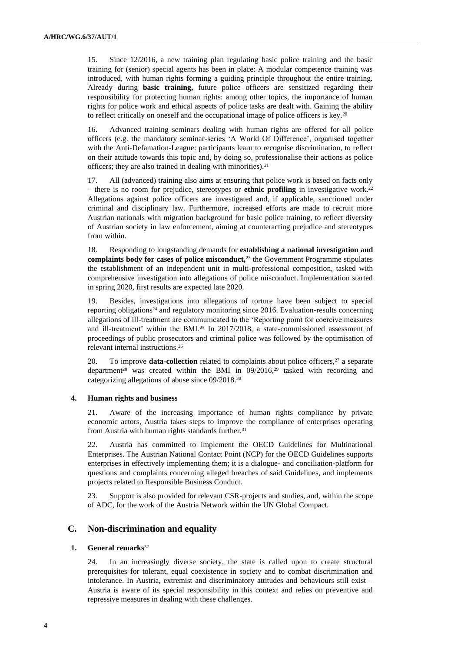15. Since 12/2016, a new training plan regulating basic police training and the basic training for (senior) special agents has been in place: A modular competence training was introduced, with human rights forming a guiding principle throughout the entire training. Already during **basic training,** future police officers are sensitized regarding their responsibility for protecting human rights: among other topics, the importance of human rights for police work and ethical aspects of police tasks are dealt with. Gaining the ability to reflect critically on oneself and the occupational image of police officers is key.<sup>20</sup>

16. Advanced training seminars dealing with human rights are offered for all police officers (e.g. the mandatory seminar-series 'A World Of Difference', organised together with the Anti-Defamation-League: participants learn to recognise discrimination, to reflect on their attitude towards this topic and, by doing so, professionalise their actions as police officers; they are also trained in dealing with minorities).<sup>21</sup>

17. All (advanced) training also aims at ensuring that police work is based on facts only – there is no room for prejudice, stereotypes or **ethnic profiling** in investigative work.<sup>22</sup> Allegations against police officers are investigated and, if applicable, sanctioned under criminal and disciplinary law. Furthermore, increased efforts are made to recruit more Austrian nationals with migration background for basic police training, to reflect diversity of Austrian society in law enforcement, aiming at counteracting prejudice and stereotypes from within.

18. Responding to longstanding demands for **establishing a national investigation and complaints body for cases of police misconduct,**<sup>23</sup> the Government Programme stipulates the establishment of an independent unit in multi-professional composition, tasked with comprehensive investigation into allegations of police misconduct. Implementation started in spring 2020, first results are expected late 2020.

19. Besides, investigations into allegations of torture have been subject to special reporting obligations<sup>24</sup> and regulatory monitoring since 2016. Evaluation-results concerning allegations of ill-treatment are communicated to the 'Reporting point for coercive measures and ill-treatment' within the BMI.<sup>25</sup> In 2017/2018, a state-commissioned assessment of proceedings of public prosecutors and criminal police was followed by the optimisation of relevant internal instructions.<sup>26</sup>

20. To improve **data-collection** related to complaints about police officers,<sup>27</sup> a separate department<sup>28</sup> was created within the BMI in  $09/2016$ <sup>29</sup> tasked with recording and categorizing allegations of abuse since 09/2018.<sup>30</sup>

#### **4. Human rights and business**

21. Aware of the increasing importance of human rights compliance by private economic actors, Austria takes steps to improve the compliance of enterprises operating from Austria with human rights standards further.<sup>31</sup>

22. Austria has committed to implement the OECD Guidelines for Multinational Enterprises. The Austrian National Contact Point (NCP) for the OECD Guidelines supports enterprises in effectively implementing them; it is a dialogue- and conciliation-platform for questions and complaints concerning alleged breaches of said Guidelines, and implements projects related to Responsible Business Conduct.

23. Support is also provided for relevant CSR-projects and studies, and, within the scope of ADC, for the work of the Austria Network within the UN Global Compact.

# **C. Non-discrimination and equality**

## **1. General remarks**<sup>32</sup>

24. In an increasingly diverse society, the state is called upon to create structural prerequisites for tolerant, equal coexistence in society and to combat discrimination and intolerance. In Austria, extremist and discriminatory attitudes and behaviours still exist – Austria is aware of its special responsibility in this context and relies on preventive and repressive measures in dealing with these challenges.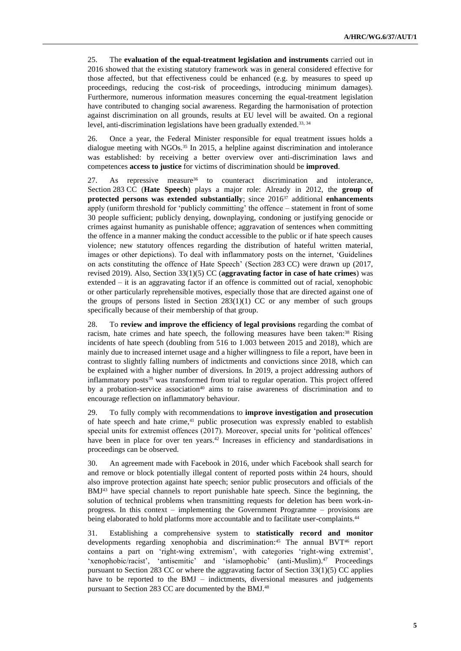25. The **evaluation of the equal-treatment legislation and instruments** carried out in 2016 showed that the existing statutory framework was in general considered effective for those affected, but that effectiveness could be enhanced (e.g. by measures to speed up proceedings, reducing the cost-risk of proceedings, introducing minimum damages). Furthermore, numerous information measures concerning the equal-treatment legislation have contributed to changing social awareness. Regarding the harmonisation of protection against discrimination on all grounds, results at EU level will be awaited. On a regional level, anti-discrimination legislations have been gradually extended.<sup>33, 34</sup>

26. Once a year, the Federal Minister responsible for equal treatment issues holds a dialogue meeting with NGOs.<sup>35</sup> In 2015, a helpline against discrimination and intolerance was established: by receiving a better overview over anti-discrimination laws and competences **access to justice** for victims of discrimination should be **improved**.

27. As repressive measure<sup>36</sup> to counteract discrimination and intolerance, Section 283 CC (**Hate Speech**) plays a major role: Already in 2012, the **group of protected persons was extended substantially**; since 2016<sup>37</sup> additional **enhancements** apply (uniform threshold for 'publicly committing' the offence – statement in front of some 30 people sufficient; publicly denying, downplaying, condoning or justifying genocide or crimes against humanity as punishable offence; aggravation of sentences when committing the offence in a manner making the conduct accessible to the public or if hate speech causes violence; new statutory offences regarding the distribution of hateful written material, images or other depictions). To deal with inflammatory posts on the internet, 'Guidelines on acts constituting the offence of Hate Speech' (Section 283 CC) were drawn up (2017, revised 2019). Also, Section 33(1)(5) CC (**aggravating factor in case of hate crimes**) was extended – it is an aggravating factor if an offence is committed out of racial, xenophobic or other particularly reprehensible motives, especially those that are directed against one of the groups of persons listed in Section  $283(1)(1)$  CC or any member of such groups specifically because of their membership of that group.

28. To **review and improve the efficiency of legal provisions** regarding the combat of racism, hate crimes and hate speech, the following measures have been taken:<sup>38</sup> Rising incidents of hate speech (doubling from 516 to 1.003 between 2015 and 2018), which are mainly due to increased internet usage and a higher willingness to file a report, have been in contrast to slightly falling numbers of indictments and convictions since 2018, which can be explained with a higher number of diversions. In 2019, a project addressing authors of inflammatory posts<sup>39</sup> was transformed from trial to regular operation. This project offered by a probation-service association<sup>40</sup> aims to raise awareness of discrimination and to encourage reflection on inflammatory behaviour.

29. To fully comply with recommendations to **improve investigation and prosecution** of hate speech and hate crime,<sup>41</sup> public prosecution was expressly enabled to establish special units for extremist offences (2017). Moreover, special units for 'political offences' have been in place for over ten years.<sup>42</sup> Increases in efficiency and standardisations in proceedings can be observed.

30. An agreement made with Facebook in 2016, under which Facebook shall search for and remove or block potentially illegal content of reported posts within 24 hours, should also improve protection against hate speech; senior public prosecutors and officials of the BMJ<sup>43</sup> have special channels to report punishable hate speech. Since the beginning, the solution of technical problems when transmitting requests for deletion has been work-inprogress. In this context – implementing the Government Programme – provisions are being elaborated to hold platforms more accountable and to facilitate user-complaints.<sup>44</sup>

31. Establishing a comprehensive system to **statistically record and monitor**  developments regarding xenophobia and discrimination:<sup>45</sup> The annual BVT<sup>46</sup> report contains a part on 'right-wing extremism', with categories 'right-wing extremist', 'xenophobic/racist', 'antisemitic' and 'islamophobic' (anti-Muslim).<sup>47</sup> Proceedings pursuant to Section 283 CC or where the aggravating factor of Section  $33(1)(5)$  CC applies have to be reported to the BMJ – indictments, diversional measures and judgements pursuant to Section 283 CC are documented by the BMJ.<sup>48</sup>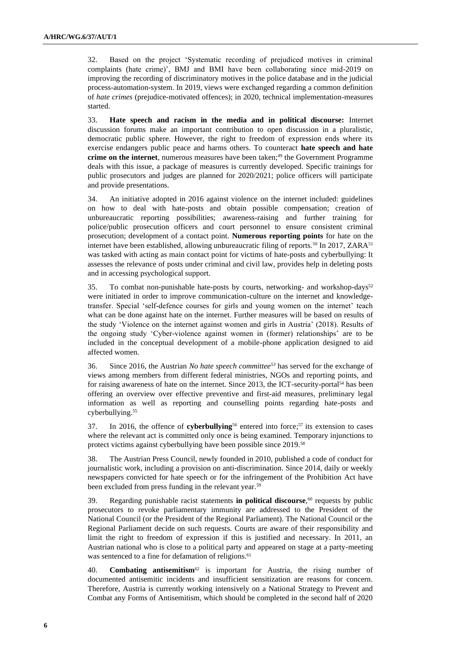32. Based on the project 'Systematic recording of prejudiced motives in criminal complaints (hate crime)', BMJ and BMI have been collaborating since mid-2019 on improving the recording of discriminatory motives in the police database and in the judicial process-automation-system. In 2019, views were exchanged regarding a common definition of *hate crimes* (prejudice-motivated offences); in 2020, technical implementation-measures started.

33. **Hate speech and racism in the media and in political discourse:** Internet discussion forums make an important contribution to open discussion in a pluralistic, democratic public sphere. However, the right to freedom of expression ends where its exercise endangers public peace and harms others. To counteract **hate speech and hate**  crime on the internet, numerous measures have been taken;<sup>49</sup> the Government Programme deals with this issue, a package of measures is currently developed. Specific trainings for public prosecutors and judges are planned for 2020/2021; police officers will participate and provide presentations.

34. An initiative adopted in 2016 against violence on the internet included: guidelines on how to deal with hate-posts and obtain possible compensation; creation of unbureaucratic reporting possibilities; awareness-raising and further training for police/public prosecution officers and court personnel to ensure consistent criminal prosecution; development of a contact point. **Numerous reporting points** for hate on the internet have been established, allowing unbureaucratic filing of reports.<sup>50</sup> In 2017, ZARA<sup>51</sup> was tasked with acting as main contact point for victims of hate-posts and cyberbullying: It assesses the relevance of posts under criminal and civil law, provides help in deleting posts and in accessing psychological support.

35. To combat non-punishable hate-posts by courts, networking- and workshop-days $52$ were initiated in order to improve communication-culture on the internet and knowledgetransfer. Special 'self-defence courses for girls and young women on the internet' teach what can be done against hate on the internet. Further measures will be based on results of the study 'Violence on the internet against women and girls in Austria' (2018). Results of the ongoing study 'Cyber-violence against women in (former) relationships' are to be included in the conceptual development of a mobile-phone application designed to aid affected women.

36. Since 2016, the Austrian *No hate speech committee<sup>53</sup>* has served for the exchange of views among members from different federal ministries, NGOs and reporting points, and for raising awareness of hate on the internet. Since 2013, the ICT-security-portal<sup>54</sup> has been offering an overview over effective preventive and first-aid measures, preliminary legal information as well as reporting and counselling points regarding hate-posts and cyberbullying.<sup>55</sup>

37. In 2016, the offence of **cyberbullying**<sup>56</sup> entered into force;<sup>57</sup> its extension to cases where the relevant act is committed only once is being examined. Temporary injunctions to protect victims against cyberbullying have been possible since 2019.<sup>58</sup>

38. The Austrian Press Council, newly founded in 2010, published a code of conduct for journalistic work, including a provision on anti-discrimination. Since 2014, daily or weekly newspapers convicted for hate speech or for the infringement of the Prohibition Act have been excluded from press funding in the relevant year.<sup>59</sup>

39. Regarding punishable racist statements **in political discourse**, <sup>60</sup> requests by public prosecutors to revoke parliamentary immunity are addressed to the President of the National Council (or the President of the Regional Parliament). The National Council or the Regional Parliament decide on such requests. Courts are aware of their responsibility and limit the right to freedom of expression if this is justified and necessary. In 2011, an Austrian national who is close to a political party and appeared on stage at a party-meeting was sentenced to a fine for defamation of religions.<sup>61</sup>

40. **Combating antisemitism**<sup>62</sup> is important for Austria, the rising number of documented antisemitic incidents and insufficient sensitization are reasons for concern. Therefore, Austria is currently working intensively on a National Strategy to Prevent and Combat any Forms of Antisemitism, which should be completed in the second half of 2020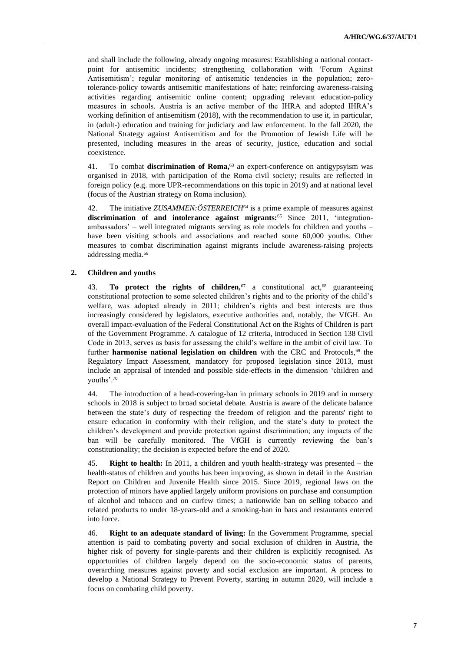and shall include the following, already ongoing measures: Establishing a national contactpoint for antisemitic incidents; strengthening collaboration with 'Forum Against Antisemitism'; regular monitoring of antisemitic tendencies in the population; zerotolerance-policy towards antisemitic manifestations of hate; reinforcing awareness-raising activities regarding antisemitic online content; upgrading relevant education-policy measures in schools. Austria is an active member of the IHRA and adopted IHRA's working definition of antisemitism (2018), with the recommendation to use it, in particular, in (adult-) education and training for judiciary and law enforcement. In the fall 2020, the National Strategy against Antisemitism and for the Promotion of Jewish Life will be presented, including measures in the areas of security, justice, education and social coexistence.

41. To combat **discrimination of Roma,**<sup>63</sup> an expert-conference on antigypsyism was organised in 2018, with participation of the Roma civil society; results are reflected in foreign policy (e.g. more UPR-recommendations on this topic in 2019) and at national level (focus of the Austrian strategy on Roma inclusion).

42. The initiative *ZUSAMMEN:ÖSTERREICH*<sup>64</sup> is a prime example of measures against **discrimination of and intolerance against migrants:**<sup>65</sup> Since 2011, 'integrationambassadors' – well integrated migrants serving as role models for children and youths – have been visiting schools and associations and reached some 60,000 youths. Other measures to combat discrimination against migrants include awareness-raising projects addressing media.<sup>66</sup>

### **2. Children and youths**

43. **To protect the rights of children**,<sup>67</sup> a constitutional act,<sup>68</sup> guaranteeing constitutional protection to some selected children's rights and to the priority of the child's welfare, was adopted already in 2011; children's rights and best interests are thus increasingly considered by legislators, executive authorities and, notably, the VfGH. An overall impact-evaluation of the Federal Constitutional Act on the Rights of Children is part of the Government Programme. A catalogue of 12 criteria, introduced in Section 138 Civil Code in 2013, serves as basis for assessing the child's welfare in the ambit of civil law. To further **harmonise national legislation on children** with the CRC and Protocols,<sup>69</sup> the Regulatory Impact Assessment, mandatory for proposed legislation since 2013, must include an appraisal of intended and possible side-effects in the dimension 'children and youths'.<sup>70</sup>

44. The introduction of a head-covering-ban in primary schools in 2019 and in nursery schools in 2018 is subject to broad societal debate. Austria is aware of the delicate balance between the state's duty of respecting the freedom of religion and the parents' right to ensure education in conformity with their religion, and the state's duty to protect the children's development and provide protection against discrimination; any impacts of the ban will be carefully monitored. The VfGH is currently reviewing the ban's constitutionality; the decision is expected before the end of 2020.

45. **Right to health:** In 2011, a children and youth health-strategy was presented – the health-status of children and youths has been improving, as shown in detail in the Austrian Report on Children and Juvenile Health since 2015. Since 2019, regional laws on the protection of minors have applied largely uniform provisions on purchase and consumption of alcohol and tobacco and on curfew times; a nationwide ban on selling tobacco and related products to under 18-years-old and a smoking-ban in bars and restaurants entered into force.

46. **Right to an adequate standard of living:** In the Government Programme, special attention is paid to combating poverty and social exclusion of children in Austria, the higher risk of poverty for single-parents and their children is explicitly recognised. As opportunities of children largely depend on the socio-economic status of parents, overarching measures against poverty and social exclusion are important. A process to develop a National Strategy to Prevent Poverty, starting in autumn 2020, will include a focus on combating child poverty.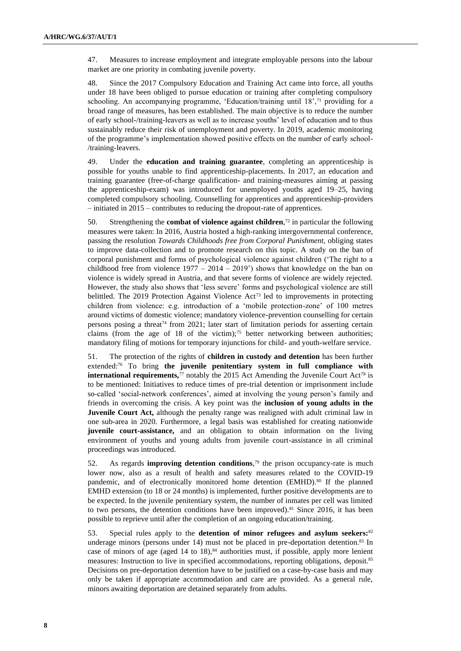47. Measures to increase employment and integrate employable persons into the labour market are one priority in combating juvenile poverty.

48. Since the 2017 Compulsory Education and Training Act came into force, all youths under 18 have been obliged to pursue education or training after completing compulsory schooling. An accompanying programme, 'Education/training until 18',<sup>71</sup> providing for a broad range of measures, has been established. The main objective is to reduce the number of early school-/training-leavers as well as to increase youths' level of education and to thus sustainably reduce their risk of unemployment and poverty. In 2019, academic monitoring of the programme's implementation showed positive effects on the number of early school- /training-leavers.

49. Under the **education and training guarantee**, completing an apprenticeship is possible for youths unable to find apprenticeship-placements. In 2017, an education and training guarantee (free-of-charge qualification- and training-measures aiming at passing the apprenticeship-exam) was introduced for unemployed youths aged 19–25, having completed compulsory schooling. Counselling for apprentices and apprenticeship-providers – initiated in 2015 – contributes to reducing the dropout-rate of apprentices.

50. Strengthening the **combat of violence against children**,<sup>72</sup> in particular the following measures were taken: In 2016, Austria hosted a high-ranking intergovernmental conference, passing the resolution *Towards Childhoods free from Corporal Punishment,* obliging states to improve data-collection and to promote research on this topic. A study on the ban of corporal punishment and forms of psychological violence against children ('The right to a childhood free from violence  $1977 - 2014 - 2019'$  shows that knowledge on the ban on violence is widely spread in Austria, and that severe forms of violence are widely rejected. However, the study also shows that 'less severe' forms and psychological violence are still belittled. The 2019 Protection Against Violence  $Act^{73}$  led to improvements in protecting children from violence: e.g. introduction of a 'mobile protection-zone' of 100 metres around victims of domestic violence; mandatory violence-prevention counselling for certain persons posing a threat<sup>74</sup> from 2021; later start of limitation periods for asserting certain claims (from the age of 18 of the victim);<sup>75</sup> better networking between authorities; mandatory filing of motions for temporary injunctions for child- and youth-welfare service.

51. The protection of the rights of **children in custody and detention** has been further extended:<sup>76</sup> To bring **the juvenile penitentiary system in full compliance with international requirements**, $77$  notably the 2015 Act Amending the Juvenile Court Act<sup>78</sup> is to be mentioned: Initiatives to reduce times of pre-trial detention or imprisonment include so-called 'social-network conferences', aimed at involving the young person's family and friends in overcoming the crisis. A key point was the **inclusion of young adults in the Juvenile Court Act,** although the penalty range was realigned with adult criminal law in one sub-area in 2020. Furthermore, a legal basis was established for creating nationwide **juvenile court-assistance,** and an obligation to obtain information on the living environment of youths and young adults from juvenile court-assistance in all criminal proceedings was introduced.

52. As regards **improving detention conditions**, <sup>79</sup> the prison occupancy-rate is much lower now, also as a result of health and safety measures related to the COVID-19 pandemic, and of electronically monitored home detention (EMHD).<sup>80</sup> If the planned EMHD extension (to 18 or 24 months) is implemented, further positive developments are to be expected. In the juvenile penitentiary system, the number of inmates per cell was limited to two persons, the detention conditions have been improved).<sup>81</sup> Since 2016, it has been possible to reprieve until after the completion of an ongoing education/training.

53. Special rules apply to the **detention of minor refugees and asylum seekers:**<sup>82</sup> underage minors (persons under  $14$ ) must not be placed in pre-deportation detention.<sup>83</sup> In case of minors of age (aged  $14$  to  $18$ ), $84$  authorities must, if possible, apply more lenient measures: Instruction to live in specified accommodations, reporting obligations, deposit.<sup>85</sup> Decisions on pre-deportation detention have to be justified on a case-by-case basis and may only be taken if appropriate accommodation and care are provided. As a general rule, minors awaiting deportation are detained separately from adults.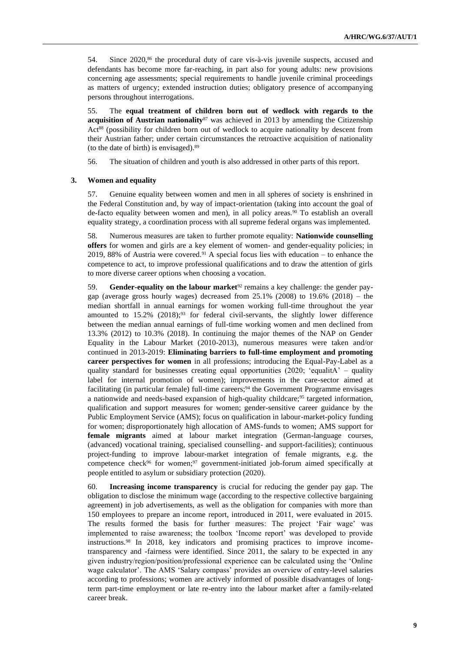54. Since 2020,<sup>86</sup> the procedural duty of care vis-à-vis juvenile suspects, accused and defendants has become more far-reaching, in part also for young adults: new provisions concerning age assessments; special requirements to handle juvenile criminal proceedings as matters of urgency; extended instruction duties; obligatory presence of accompanying persons throughout interrogations.

55. The **equal treatment of children born out of wedlock with regards to the acquisition of Austrian nationality**<sup>87</sup> was achieved in 2013 by amending the Citizenship Act<sup>88</sup> (possibility for children born out of wedlock to acquire nationality by descent from their Austrian father; under certain circumstances the retroactive acquisition of nationality (to the date of birth) is envisaged).<sup>89</sup>

56. The situation of children and youth is also addressed in other parts of this report.

#### **3. Women and equality**

57. Genuine equality between women and men in all spheres of society is enshrined in the Federal Constitution and, by way of impact-orientation (taking into account the goal of de-facto equality between women and men), in all policy areas.<sup>90</sup> To establish an overall equality strategy, a coordination process with all supreme federal organs was implemented.

58. Numerous measures are taken to further promote equality: **Nationwide counselling offers** for women and girls are a key element of women- and gender-equality policies; in 2019, 88% of Austria were covered.<sup>91</sup> A special focus lies with education – to enhance the competence to act, to improve professional qualifications and to draw the attention of girls to more diverse career options when choosing a vocation.

59. **Gender-equality on the labour market**<sup>92</sup> remains a key challenge: the gender paygap (average gross hourly wages) decreased from 25.1% (2008) to 19.6% (2018) – the median shortfall in annual earnings for women working full-time throughout the year amounted to  $15.2\%$  (2018);<sup>93</sup> for federal civil-servants, the slightly lower difference between the median annual earnings of full-time working women and men declined from 13.3% (2012) to 10.3% (2018). In continuing the major themes of the NAP on Gender Equality in the Labour Market (2010-2013), numerous measures were taken and/or continued in 2013-2019: **Eliminating barriers to full-time employment and promoting career perspectives for women** in all professions; introducing the Equal-Pay-Label as a quality standard for businesses creating equal opportunities  $(2020; 'equalita' - quality)$ label for internal promotion of women); improvements in the care-sector aimed at facilitating (in particular female) full-time careers;<sup>94</sup> the Government Programme envisages a nationwide and needs-based expansion of high-quality childcare;<sup>95</sup> targeted information, qualification and support measures for women; gender-sensitive career guidance by the Public Employment Service (AMS); focus on qualification in labour-market-policy funding for women; disproportionately high allocation of AMS-funds to women; AMS support for **female migrants** aimed at labour market integration (German-language courses, (advanced) vocational training, specialised counselling- and support-facilities); continuous project-funding to improve labour-market integration of female migrants, e.g. the competence check<sup>96</sup> for women;<sup>97</sup> government-initiated job-forum aimed specifically at people entitled to asylum or subsidiary protection (2020).

60. **Increasing income transparency** is crucial for reducing the gender pay gap. The obligation to disclose the minimum wage (according to the respective collective bargaining agreement) in job advertisements, as well as the obligation for companies with more than 150 employees to prepare an income report, introduced in 2011, were evaluated in 2015. The results formed the basis for further measures: The project 'Fair wage' was implemented to raise awareness; the toolbox 'Income report' was developed to provide instructions.<sup>98</sup> In 2018, key indicators and promising practices to improve incometransparency and -fairness were identified. Since 2011, the salary to be expected in any given industry/region/position/professional experience can be calculated using the 'Online wage calculator'. The AMS 'Salary compass' provides an overview of entry-level salaries according to professions; women are actively informed of possible disadvantages of longterm part-time employment or late re-entry into the labour market after a family-related career break.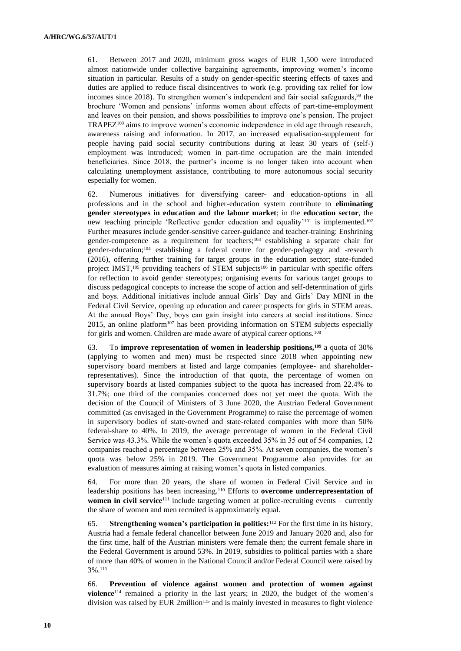61. Between 2017 and 2020, minimum gross wages of EUR 1,500 were introduced almost nationwide under collective bargaining agreements, improving women's income situation in particular. Results of a study on gender-specific steering effects of taxes and duties are applied to reduce fiscal disincentives to work (e.g. providing tax relief for low incomes since 2018). To strengthen women's independent and fair social safeguards,<sup>99</sup> the brochure 'Women and pensions' informs women about effects of part-time-employment and leaves on their pension, and shows possibilities to improve one's pension. The project TRAPEZ<sup>100</sup> aims to improve women's economic independence in old age through research, awareness raising and information. In 2017, an increased equalisation-supplement for people having paid social security contributions during at least 30 years of (self-) employment was introduced; women in part-time occupation are the main intended beneficiaries. Since 2018, the partner's income is no longer taken into account when calculating unemployment assistance, contributing to more autonomous social security especially for women.

62. Numerous initiatives for diversifying career- and education-options in all professions and in the school and higher-education system contribute to **eliminating gender stereotypes in education and the labour market**; in the **education sector**, the new teaching principle 'Reflective gender education and equality'<sup>101</sup> is implemented.<sup>102</sup> Further measures include gender-sensitive career-guidance and teacher-training: Enshrining gender-competence as a requirement for teachers;<sup>103</sup> establishing a separate chair for gender-education;<sup>104</sup> establishing a federal centre for gender-pedagogy and -research (2016), offering further training for target groups in the education sector; state-funded project IMST,<sup>105</sup> providing teachers of STEM subjects<sup>106</sup> in particular with specific offers for reflection to avoid gender stereotypes; organising events for various target groups to discuss pedagogical concepts to increase the scope of action and self-determination of girls and boys. Additional initiatives include annual Girls' Day and Girls' Day MINI in the Federal Civil Service, opening up education and career prospects for girls in STEM areas. At the annual Boys' Day, boys can gain insight into careers at social institutions. Since  $2015$ , an online platform<sup>107</sup> has been providing information on STEM subjects especially for girls and women. Children are made aware of atypical career options.<sup>108</sup>

63. To **improve representation of women in leadership positions,<sup>109</sup>** a quota of 30% (applying to women and men) must be respected since 2018 when appointing new supervisory board members at listed and large companies (employee- and shareholderrepresentatives). Since the introduction of that quota, the percentage of women on supervisory boards at listed companies subject to the quota has increased from 22.4% to 31.7%; one third of the companies concerned does not yet meet the quota. With the decision of the Council of Ministers of 3 June 2020, the Austrian Federal Government committed (as envisaged in the Government Programme) to raise the percentage of women in supervisory bodies of state-owned and state-related companies with more than 50% federal-share to 40%. In 2019, the average percentage of women in the Federal Civil Service was 43.3%. While the women's quota exceeded 35% in 35 out of 54 companies, 12 companies reached a percentage between 25% and 35%. At seven companies, the women's quota was below 25% in 2019. The Government Programme also provides for an evaluation of measures aiming at raising women's quota in listed companies.

64. For more than 20 years, the share of women in Federal Civil Service and in leadership positions has been increasing.<sup>110</sup> Efforts to **overcome underrepresentation of women in civil service**<sup>111</sup> include targeting women at police-recruiting events – currently the share of women and men recruited is approximately equal.

65. **Strengthening women's participation in politics:**<sup>112</sup> For the first time in its history, Austria had a female federal chancellor between June 2019 and January 2020 and, also for the first time, half of the Austrian ministers were female then; the current female share in the Federal Government is around 53%. In 2019, subsidies to political parties with a share of more than 40% of women in the National Council and/or Federal Council were raised by 3%.<sup>113</sup>

66. **Prevention of violence against women and protection of women against violence**<sup>114</sup> remained a priority in the last years; in 2020, the budget of the women's division was raised by EUR 2million<sup>115</sup> and is mainly invested in measures to fight violence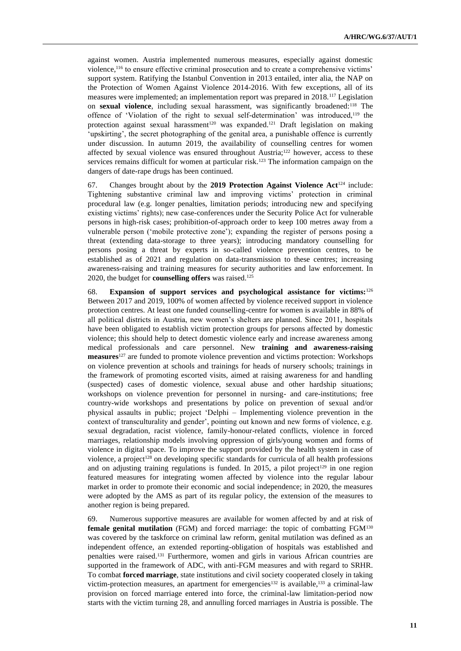against women. Austria implemented numerous measures, especially against domestic violence,<sup>116</sup> to ensure effective criminal prosecution and to create a comprehensive victims' support system. Ratifying the Istanbul Convention in 2013 entailed, inter alia, the NAP on the Protection of Women Against Violence 2014-2016. With few exceptions, all of its measures were implemented; an implementation report was prepared in 2018.<sup>117</sup> Legislation on **sexual violence**, including sexual harassment, was significantly broadened:<sup>118</sup> The offence of 'Violation of the right to sexual self-determination' was introduced,<sup>119</sup> the protection against sexual harassment<sup>120</sup> was expanded.<sup>121</sup> Draft legislation on making 'upskirting', the secret photographing of the genital area, a punishable offence is currently under discussion. In autumn 2019, the availability of counselling centres for women affected by sexual violence was ensured throughout Austria;<sup>122</sup> however, access to these services remains difficult for women at particular risk.<sup>123</sup> The information campaign on the dangers of date-rape drugs has been continued.

67. Changes brought about by the **2019 Protection Against Violence Act**<sup>124</sup> include: Tightening substantive criminal law and improving victims' protection in criminal procedural law (e.g. longer penalties, limitation periods; introducing new and specifying existing victims' rights); new case-conferences under the Security Police Act for vulnerable persons in high-risk cases; prohibition-of-approach order to keep 100 metres away from a vulnerable person ('mobile protective zone'); expanding the register of persons posing a threat (extending data-storage to three years); introducing mandatory counselling for persons posing a threat by experts in so-called violence prevention centres, to be established as of 2021 and regulation on data-transmission to these centres; increasing awareness-raising and training measures for security authorities and law enforcement. In 2020, the budget for **counselling offers** was raised.<sup>125</sup>

68. **Expansion of support services and psychological assistance for victims:**<sup>126</sup> Between 2017 and 2019, 100% of women affected by violence received support in violence protection centres. At least one funded counselling-centre for women is available in 88% of all political districts in Austria, new women's shelters are planned. Since 2011, hospitals have been obligated to establish victim protection groups for persons affected by domestic violence; this should help to detect domestic violence early and increase awareness among medical professionals and care personnel. New **training and awareness-raising measures**<sup>127</sup> are funded to promote violence prevention and victims protection: Workshops on violence prevention at schools and trainings for heads of nursery schools; trainings in the framework of promoting escorted visits, aimed at raising awareness for and handling (suspected) cases of domestic violence, sexual abuse and other hardship situations; workshops on violence prevention for personnel in nursing- and care-institutions; free country-wide workshops and presentations by police on prevention of sexual and/or physical assaults in public; project 'Delphi – Implementing violence prevention in the context of transculturality and gender', pointing out known and new forms of violence, e.g. sexual degradation, racist violence, family-honour-related conflicts, violence in forced marriages, relationship models involving oppression of girls/young women and forms of violence in digital space. To improve the support provided by the health system in case of violence, a project<sup>128</sup> on developing specific standards for curricula of all health professions and on adjusting training regulations is funded. In 2015, a pilot project<sup>129</sup> in one region featured measures for integrating women affected by violence into the regular labour market in order to promote their economic and social independence; in 2020, the measures were adopted by the AMS as part of its regular policy, the extension of the measures to another region is being prepared.

69. Numerous supportive measures are available for women affected by and at risk of **female genital mutilation** (FGM) and forced marriage: the topic of combatting FGM<sup>130</sup> was covered by the taskforce on criminal law reform, genital mutilation was defined as an independent offence, an extended reporting-obligation of hospitals was established and penalties were raised.<sup>131</sup> Furthermore, women and girls in various African countries are supported in the framework of ADC, with anti-FGM measures and with regard to SRHR. To combat **forced marriage**, state institutions and civil society cooperated closely in taking victim-protection measures, an apartment for emergencies<sup>132</sup> is available,<sup>133</sup> a criminal-law provision on forced marriage entered into force, the criminal-law limitation-period now starts with the victim turning 28, and annulling forced marriages in Austria is possible. The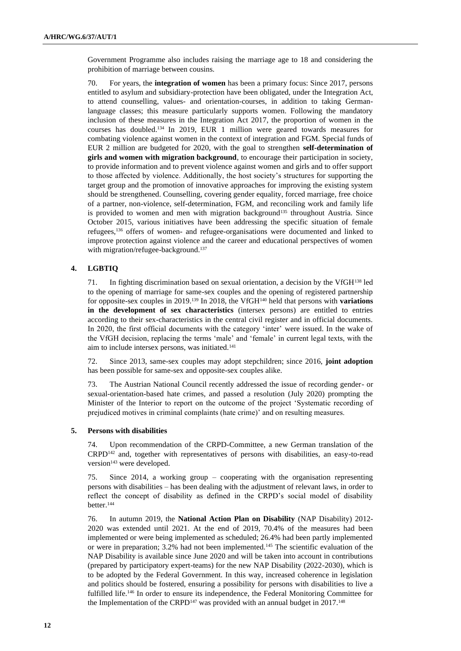Government Programme also includes raising the marriage age to 18 and considering the prohibition of marriage between cousins.

70. For years, the **integration of women** has been a primary focus: Since 2017, persons entitled to asylum and subsidiary-protection have been obligated, under the Integration Act, to attend counselling, values- and orientation-courses, in addition to taking Germanlanguage classes; this measure particularly supports women. Following the mandatory inclusion of these measures in the Integration Act 2017, the proportion of women in the courses has doubled.<sup>134</sup> In 2019, EUR 1 million were geared towards measures for combating violence against women in the context of integration and FGM. Special funds of EUR 2 million are budgeted for 2020, with the goal to strengthen **self-determination of girls and women with migration background**, to encourage their participation in society, to provide information and to prevent violence against women and girls and to offer support to those affected by violence. Additionally, the host society's structures for supporting the target group and the promotion of innovative approaches for improving the existing system should be strengthened. Counselling, covering gender equality, forced marriage, free choice of a partner, non-violence, self-determination, FGM, and reconciling work and family life is provided to women and men with migration background<sup>135</sup> throughout Austria. Since October 2015, various initiatives have been addressing the specific situation of female refugees,<sup>136</sup> offers of women- and refugee-organisations were documented and linked to improve protection against violence and the career and educational perspectives of women with migration/refugee-background.<sup>137</sup>

## **4. LGBTIQ**

71. In fighting discrimination based on sexual orientation, a decision by the VfGH<sup>138</sup> led to the opening of marriage for same-sex couples and the opening of registered partnership for opposite-sex couples in 2019.<sup>139</sup> In 2018, the VfGH<sup>140</sup> held that persons with **variations in the development of sex characteristics** (intersex persons) are entitled to entries according to their sex-characteristics in the central civil register and in official documents. In 2020, the first official documents with the category 'inter' were issued. In the wake of the VfGH decision, replacing the terms 'male' and 'female' in current legal texts, with the aim to include intersex persons, was initiated.<sup>141</sup>

72. Since 2013, same-sex couples may adopt stepchildren; since 2016, **joint adoption** has been possible for same-sex and opposite-sex couples alike.

73. The Austrian National Council recently addressed the issue of recording gender- or sexual-orientation-based hate crimes, and passed a resolution (July 2020) prompting the Minister of the Interior to report on the outcome of the project 'Systematic recording of prejudiced motives in criminal complaints (hate crime)' and on resulting measures.

#### **5. Persons with disabilities**

74. Upon recommendation of the CRPD-Committee, a new German translation of the CRPD<sup>142</sup> and, together with representatives of persons with disabilities, an easy-to-read version<sup>143</sup> were developed.

75. Since 2014, a working group – cooperating with the organisation representing persons with disabilities – has been dealing with the adjustment of relevant laws, in order to reflect the concept of disability as defined in the CRPD's social model of disability better.<sup>144</sup>

76. In autumn 2019, the **National Action Plan on Disability** (NAP Disability) 2012- 2020 was extended until 2021. At the end of 2019, 70.4% of the measures had been implemented or were being implemented as scheduled; 26.4% had been partly implemented or were in preparation; 3.2% had not been implemented.<sup>145</sup> The scientific evaluation of the NAP Disability is available since June 2020 and will be taken into account in contributions (prepared by participatory expert-teams) for the new NAP Disability (2022-2030), which is to be adopted by the Federal Government. In this way, increased coherence in legislation and politics should be fostered, ensuring a possibility for persons with disabilities to live a fulfilled life.<sup>146</sup> In order to ensure its independence, the Federal Monitoring Committee for the Implementation of the CRPD<sup>147</sup> was provided with an annual budget in 2017.<sup>148</sup>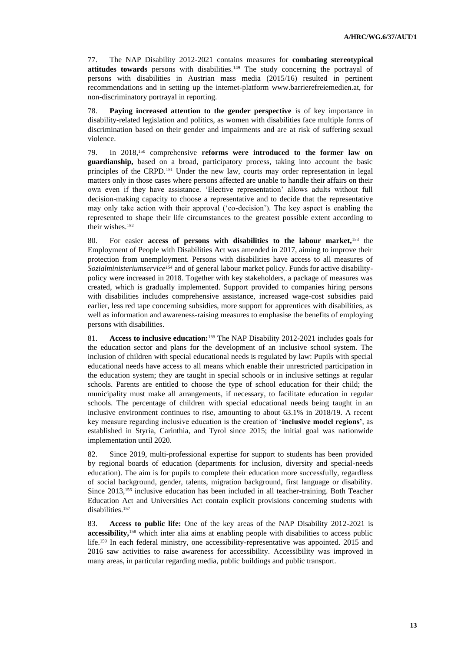77. The NAP Disability 2012-2021 contains measures for **combating stereotypical**  attitudes towards persons with disabilities.<sup>149</sup> The study concerning the portrayal of persons with disabilities in Austrian mass media (2015/16) resulted in pertinent recommendations and in setting up the internet-platform www.barrierefreiemedien.at, for non-discriminatory portrayal in reporting.

78. **Paying increased attention to the gender perspective** is of key importance in disability-related legislation and politics, as women with disabilities face multiple forms of discrimination based on their gender and impairments and are at risk of suffering sexual violence.

79. In 2018,<sup>150</sup> comprehensive **reforms were introduced to the former law on guardianship,** based on a broad, participatory process, taking into account the basic principles of the CRPD.<sup>151</sup> Under the new law, courts may order representation in legal matters only in those cases where persons affected are unable to handle their affairs on their own even if they have assistance. 'Elective representation' allows adults without full decision-making capacity to choose a representative and to decide that the representative may only take action with their approval ('co-decision'). The key aspect is enabling the represented to shape their life circumstances to the greatest possible extent according to their wishes.<sup>152</sup>

80. For easier **access of persons with disabilities to the labour market,**<sup>153</sup> the Employment of People with Disabilities Act was amended in 2017, aiming to improve their protection from unemployment. Persons with disabilities have access to all measures of *Sozialministeriumservice<sup>154</sup>* and of general labour market policy. Funds for active disabilitypolicy were increased in 2018. Together with key stakeholders, a package of measures was created, which is gradually implemented. Support provided to companies hiring persons with disabilities includes comprehensive assistance, increased wage-cost subsidies paid earlier, less red tape concerning subsidies, more support for apprentices with disabilities, as well as information and awareness-raising measures to emphasise the benefits of employing persons with disabilities.

81. **Access to inclusive education:**<sup>155</sup> The NAP Disability 2012-2021 includes goals for the education sector and plans for the development of an inclusive school system. The inclusion of children with special educational needs is regulated by law: Pupils with special educational needs have access to all means which enable their unrestricted participation in the education system; they are taught in special schools or in inclusive settings at regular schools. Parents are entitled to choose the type of school education for their child; the municipality must make all arrangements, if necessary, to facilitate education in regular schools. The percentage of children with special educational needs being taught in an inclusive environment continues to rise, amounting to about 63.1% in 2018/19. A recent key measure regarding inclusive education is the creation of '**inclusive model regions'**, as established in Styria, Carinthia, and Tyrol since 2015; the initial goal was nationwide implementation until 2020.

82. Since 2019, multi-professional expertise for support to students has been provided by regional boards of education (departments for inclusion, diversity and special-needs education). The aim is for pupils to complete their education more successfully, regardless of social background, gender, talents, migration background, first language or disability. Since 2013,<sup>156</sup> inclusive education has been included in all teacher-training. Both Teacher Education Act and Universities Act contain explicit provisions concerning students with disabilities.<sup>157</sup>

83. **Access to public life:** One of the key areas of the NAP Disability 2012-2021 is **accessibility,**<sup>158</sup> which inter alia aims at enabling people with disabilities to access public life.<sup>159</sup> In each federal ministry, one accessibility-representative was appointed. 2015 and 2016 saw activities to raise awareness for accessibility. Accessibility was improved in many areas, in particular regarding media, public buildings and public transport.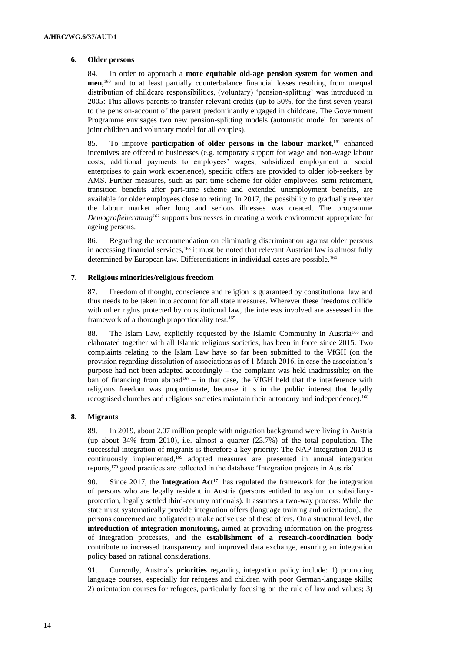#### **6. Older persons**

84. In order to approach a **more equitable old-age pension system for women and men,**<sup>160</sup> and to at least partially counterbalance financial losses resulting from unequal distribution of childcare responsibilities, (voluntary) 'pension-splitting' was introduced in 2005: This allows parents to transfer relevant credits (up to 50%, for the first seven years) to the pension-account of the parent predominantly engaged in childcare. The Government Programme envisages two new pension-splitting models (automatic model for parents of joint children and voluntary model for all couples).

85. To improve **participation of older persons in the labour market,**<sup>161</sup> enhanced incentives are offered to businesses (e.g. temporary support for wage and non-wage labour costs; additional payments to employees' wages; subsidized employment at social enterprises to gain work experience), specific offers are provided to older job-seekers by AMS. Further measures, such as part-time scheme for older employees, semi-retirement, transition benefits after part-time scheme and extended unemployment benefits, are available for older employees close to retiring. In 2017, the possibility to gradually re-enter the labour market after long and serious illnesses was created. The programme *Demografieberatung<sup>162</sup>* supports businesses in creating a work environment appropriate for ageing persons.

86. Regarding the recommendation on eliminating discrimination against older persons in accessing financial services,<sup>163</sup> it must be noted that relevant Austrian law is almost fully determined by European law. Differentiations in individual cases are possible.<sup>164</sup>

### **7. Religious minorities/religious freedom**

87. Freedom of thought, conscience and religion is guaranteed by constitutional law and thus needs to be taken into account for all state measures. Wherever these freedoms collide with other rights protected by constitutional law, the interests involved are assessed in the framework of a thorough proportionality test.<sup>165</sup>

88. The Islam Law, explicitly requested by the Islamic Community in Austria<sup>166</sup> and elaborated together with all Islamic religious societies, has been in force since 2015. Two complaints relating to the Islam Law have so far been submitted to the VfGH (on the provision regarding dissolution of associations as of 1 March 2016, in case the association's purpose had not been adapted accordingly – the complaint was held inadmissible; on the ban of financing from abroad<sup>167</sup> – in that case, the VfGH held that the interference with religious freedom was proportionate, because it is in the public interest that legally recognised churches and religious societies maintain their autonomy and independence).<sup>168</sup>

## **8. Migrants**

89. In 2019, about 2.07 million people with migration background were living in Austria (up about 34% from 2010), i.e. almost a quarter (23.7%) of the total population. The successful integration of migrants is therefore a key priority: The NAP Integration 2010 is continuously implemented,<sup>169</sup> adopted measures are presented in annual integration reports,<sup>170</sup> good practices are collected in the database 'Integration projects in Austria'.

90. Since 2017, the **Integration Act**<sup>171</sup> has regulated the framework for the integration of persons who are legally resident in Austria (persons entitled to asylum or subsidiaryprotection, legally settled third-country nationals). It assumes a two-way process: While the state must systematically provide integration offers (language training and orientation), the persons concerned are obligated to make active use of these offers. On a structural level, the **introduction of integration-monitoring,** aimed at providing information on the progress of integration processes, and the **establishment of a research-coordination body**  contribute to increased transparency and improved data exchange, ensuring an integration policy based on rational considerations.

91. Currently, Austria's **priorities** regarding integration policy include: 1) promoting language courses, especially for refugees and children with poor German-language skills; 2) orientation courses for refugees, particularly focusing on the rule of law and values; 3)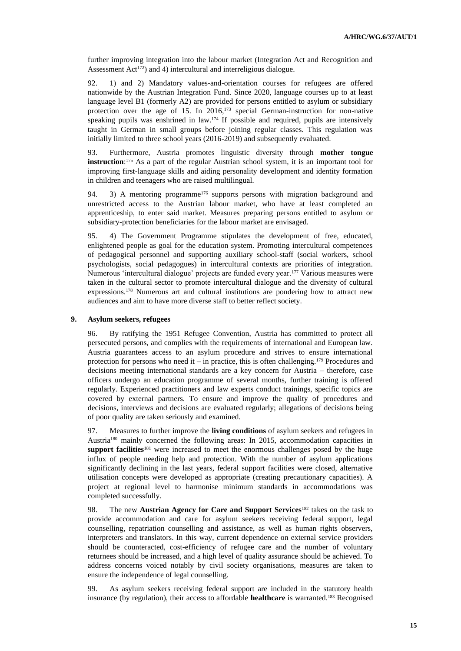further improving integration into the labour market (Integration Act and Recognition and Assessment Act<sup>172</sup>) and 4) intercultural and interreligious dialogue.

92. 1) and 2) Mandatory values-and-orientation courses for refugees are offered nationwide by the Austrian Integration Fund. Since 2020, language courses up to at least language level B1 (formerly A2) are provided for persons entitled to asylum or subsidiary protection over the age of 15. In 2016,<sup>173</sup> special German-instruction for non-native speaking pupils was enshrined in law.<sup>174</sup> If possible and required, pupils are intensively taught in German in small groups before joining regular classes. This regulation was initially limited to three school years (2016-2019) and subsequently evaluated.

93. Furthermore, Austria promotes linguistic diversity through **mother tongue instruction**:<sup>175</sup> As a part of the regular Austrian school system, it is an important tool for improving first-language skills and aiding personality development and identity formation in children and teenagers who are raised multilingual.

94. 3) A mentoring programme<sup>176</sup> supports persons with migration background and unrestricted access to the Austrian labour market, who have at least completed an apprenticeship, to enter said market. Measures preparing persons entitled to asylum or subsidiary-protection beneficiaries for the labour market are envisaged.

95. 4) The Government Programme stipulates the development of free, educated, enlightened people as goal for the education system. Promoting intercultural competences of pedagogical personnel and supporting auxiliary school-staff (social workers, school psychologists, social pedagogues) in intercultural contexts are priorities of integration. Numerous 'intercultural dialogue' projects are funded every year.<sup>177</sup> Various measures were taken in the cultural sector to promote intercultural dialogue and the diversity of cultural expressions.<sup>178</sup> Numerous art and cultural institutions are pondering how to attract new audiences and aim to have more diverse staff to better reflect society.

## **9. Asylum seekers, refugees**

96. By ratifying the 1951 Refugee Convention, Austria has committed to protect all persecuted persons, and complies with the requirements of international and European law. Austria guarantees access to an asylum procedure and strives to ensure international protection for persons who need it – in practice, this is often challenging.<sup>179</sup> Procedures and decisions meeting international standards are a key concern for Austria – therefore, case officers undergo an education programme of several months, further training is offered regularly. Experienced practitioners and law experts conduct trainings, specific topics are covered by external partners. To ensure and improve the quality of procedures and decisions, interviews and decisions are evaluated regularly; allegations of decisions being of poor quality are taken seriously and examined.

97. Measures to further improve the **living conditions** of asylum seekers and refugees in Austria<sup>180</sup> mainly concerned the following areas: In 2015, accommodation capacities in support facilities<sup>181</sup> were increased to meet the enormous challenges posed by the huge influx of people needing help and protection. With the number of asylum applications significantly declining in the last years, federal support facilities were closed, alternative utilisation concepts were developed as appropriate (creating precautionary capacities). A project at regional level to harmonise minimum standards in accommodations was completed successfully.

98. The new **Austrian Agency for Care and Support Services**<sup>182</sup> takes on the task to provide accommodation and care for asylum seekers receiving federal support, legal counselling, repatriation counselling and assistance, as well as human rights observers, interpreters and translators. In this way, current dependence on external service providers should be counteracted, cost-efficiency of refugee care and the number of voluntary returnees should be increased, and a high level of quality assurance should be achieved. To address concerns voiced notably by civil society organisations, measures are taken to ensure the independence of legal counselling.

99. As asylum seekers receiving federal support are included in the statutory health insurance (by regulation), their access to affordable **healthcare** is warranted.<sup>183</sup> Recognised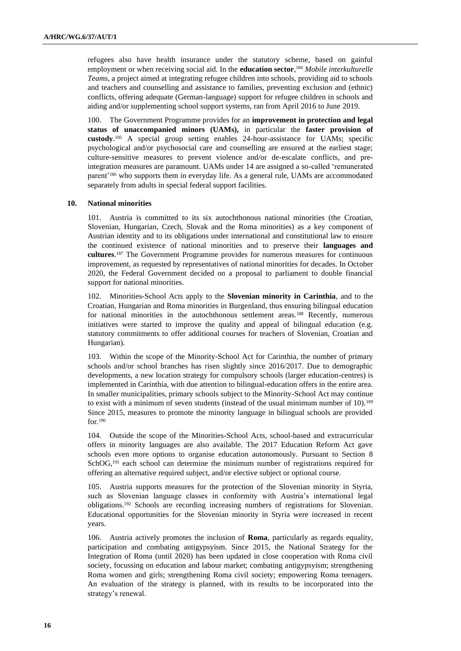refugees also have health insurance under the statutory scheme, based on gainful employment or when receiving social aid. In the **education sector**, <sup>184</sup> *Mobile interkulturelle Teams*, a project aimed at integrating refugee children into schools, providing aid to schools and teachers and counselling and assistance to families, preventing exclusion and (ethnic) conflicts, offering adequate (German-language) support for refugee children in schools and aiding and/or supplementing school support systems, ran from April 2016 to June 2019.

100. The Government Programme provides for an **improvement in protection and legal status of unaccompanied minors (UAMs),** in particular the **faster provision of custody**. <sup>185</sup> A special group setting enables 24-hour-assistance for UAMs; specific psychological and/or psychosocial care and counselling are ensured at the earliest stage; culture-sensitive measures to prevent violence and/or de-escalate conflicts, and preintegration measures are paramount. UAMs under 14 are assigned a so-called 'remunerated parent'<sup>186</sup> who supports them in everyday life. As a general rule, UAMs are accommodated separately from adults in special federal support facilities.

#### **10. National minorities**

101. Austria is committed to its six autochthonous national minorities (the Croatian, Slovenian, Hungarian, Czech, Slovak and the Roma minorities) as a key component of Austrian identity and to its obligations under international and constitutional law to ensure the continued existence of national minorities and to preserve their **languages and cultures**. <sup>187</sup> The Government Programme provides for numerous measures for continuous improvement, as requested by representatives of national minorities for decades. In October 2020, the Federal Government decided on a proposal to parliament to double financial support for national minorities.

102. Minorities-School Acts apply to the **Slovenian minority in Carinthia**, and to the Croatian, Hungarian and Roma minorities in Burgenland, thus ensuring bilingual education for national minorities in the autochthonous settlement areas.<sup>188</sup> Recently, numerous initiatives were started to improve the quality and appeal of bilingual education (e.g. statutory commitments to offer additional courses for teachers of Slovenian, Croatian and Hungarian).

103. Within the scope of the Minority-School Act for Carinthia, the number of primary schools and/or school branches has risen slightly since 2016/2017. Due to demographic developments, a new location strategy for compulsory schools (larger education-centres) is implemented in Carinthia, with due attention to bilingual-education offers in the entire area. In smaller municipalities, primary schools subject to the Minority-School Act may continue to exist with a minimum of seven students (instead of the usual minimum number of 10).<sup>189</sup> Since 2015, measures to promote the minority language in bilingual schools are provided for.<sup>190</sup>

104. Outside the scope of the Minorities-School Acts, school-based and extracurricular offers in minority languages are also available. The 2017 Education Reform Act gave schools even more options to organise education autonomously. Pursuant to Section 8 SchOG,<sup>191</sup> each school can determine the minimum number of registrations required for offering an alternative required subject, and/or elective subject or optional course.

105. Austria supports measures for the protection of the Slovenian minority in Styria, such as Slovenian language classes in conformity with Austria's international legal obligations.<sup>192</sup> Schools are recording increasing numbers of registrations for Slovenian. Educational opportunities for the Slovenian minority in Styria were increased in recent years.

106. Austria actively promotes the inclusion of **Roma**, particularly as regards equality, participation and combating antigypsyism. Since 2015, the National Strategy for the Integration of Roma (until 2020) has been updated in close cooperation with Roma civil society, focussing on education and labour market; combating antigypsyism; strengthening Roma women and girls; strengthening Roma civil society; empowering Roma teenagers. An evaluation of the strategy is planned, with its results to be incorporated into the strategy's renewal.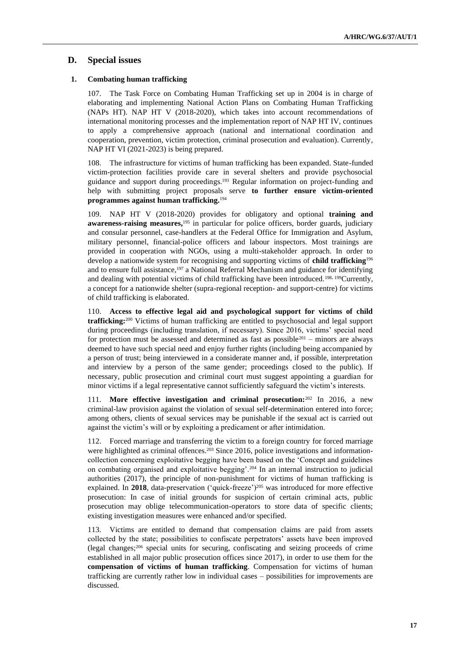# **D. Special issues**

# **1. Combating human trafficking**

107. The Task Force on Combating Human Trafficking set up in 2004 is in charge of elaborating and implementing National Action Plans on Combating Human Trafficking (NAPs HT). NAP HT V (2018-2020), which takes into account recommendations of international monitoring processes and the implementation report of NAP HT IV, continues to apply a comprehensive approach (national and international coordination and cooperation, prevention, victim protection, criminal prosecution and evaluation). Currently, NAP HT VI (2021-2023) is being prepared.

108. The infrastructure for victims of human trafficking has been expanded. State-funded victim-protection facilities provide care in several shelters and provide psychosocial guidance and support during proceedings.<sup>193</sup> Regular information on project-funding and help with submitting project proposals serve **to further ensure victim-oriented programmes against human trafficking.**<sup>194</sup>

109. NAP HT V (2018-2020) provides for obligatory and optional **training and awareness-raising measures**,<sup>195</sup> in particular for police officers, border guards, judiciary and consular personnel, case-handlers at the Federal Office for Immigration and Asylum, military personnel, financial-police officers and labour inspectors. Most trainings are provided in cooperation with NGOs, using a multi-stakeholder approach. In order to develop a nationwide system for recognising and supporting victims of **child trafficking**<sup>196</sup> and to ensure full assistance,<sup>197</sup> a National Referral Mechanism and guidance for identifying and dealing with potential victims of child trafficking have been introduced.<sup>198, 199</sup>Currently, a concept for a nationwide shelter (supra-regional reception- and support-centre) for victims of child trafficking is elaborated.

110. **Access to effective legal aid and psychological support for victims of child trafficking:**<sup>200</sup> Victims of human trafficking are entitled to psychosocial and legal support during proceedings (including translation, if necessary). Since 2016, victims' special need for protection must be assessed and determined as fast as possible  $201$  – minors are always deemed to have such special need and enjoy further rights (including being accompanied by a person of trust; being interviewed in a considerate manner and, if possible, interpretation and interview by a person of the same gender; proceedings closed to the public). If necessary, public prosecution and criminal court must suggest appointing a guardian for minor victims if a legal representative cannot sufficiently safeguard the victim's interests.

111. **More effective investigation and criminal prosecution:**<sup>202</sup> In 2016, a new criminal-law provision against the violation of sexual self-determination entered into force; among others, clients of sexual services may be punishable if the sexual act is carried out against the victim's will or by exploiting a predicament or after intimidation.

112. Forced marriage and transferring the victim to a foreign country for forced marriage were highlighted as criminal offences.<sup>203</sup> Since 2016, police investigations and informationcollection concerning exploitative begging have been based on the 'Concept and guidelines on combating organised and exploitative begging'.<sup>204</sup> In an internal instruction to judicial authorities (2017), the principle of non-punishment for victims of human trafficking is explained. In 2018, data-preservation ('quick-freeze')<sup>205</sup> was introduced for more effective prosecution: In case of initial grounds for suspicion of certain criminal acts, public prosecution may oblige telecommunication-operators to store data of specific clients; existing investigation measures were enhanced and/or specified.

113. Victims are entitled to demand that compensation claims are paid from assets collected by the state; possibilities to confiscate perpetrators' assets have been improved (legal changes;<sup>206</sup> special units for securing, confiscating and seizing proceeds of crime established in all major public prosecution offices since 2017), in order to use them for the **compensation of victims of human trafficking**. Compensation for victims of human trafficking are currently rather low in individual cases – possibilities for improvements are discussed.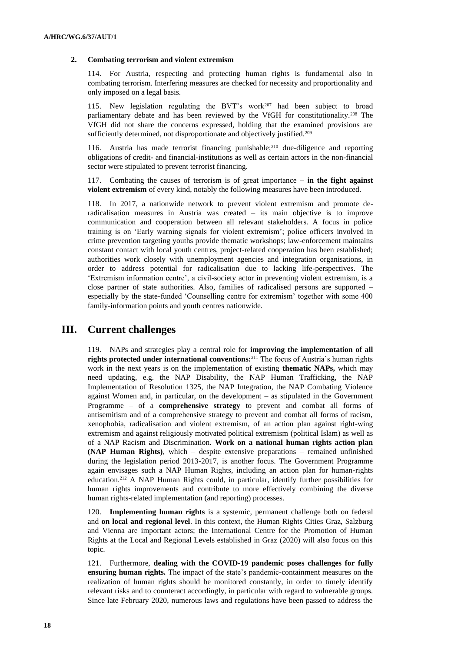#### **2. Combating terrorism and violent extremism**

114. For Austria, respecting and protecting human rights is fundamental also in combating terrorism. Interfering measures are checked for necessity and proportionality and only imposed on a legal basis.

115. New legislation regulating the BVT's work<sup>207</sup> had been subject to broad parliamentary debate and has been reviewed by the VfGH for constitutionality.<sup>208</sup> The VfGH did not share the concerns expressed, holding that the examined provisions are sufficiently determined, not disproportionate and objectively justified.<sup>209</sup>

116. Austria has made terrorist financing punishable;<sup>210</sup> due-diligence and reporting obligations of credit- and financial-institutions as well as certain actors in the non-financial sector were stipulated to prevent terrorist financing.

117. Combating the causes of terrorism is of great importance – **in the fight against violent extremism** of every kind, notably the following measures have been introduced.

118. In 2017, a nationwide network to prevent violent extremism and promote deradicalisation measures in Austria was created – its main objective is to improve communication and cooperation between all relevant stakeholders. A focus in police training is on 'Early warning signals for violent extremism'; police officers involved in crime prevention targeting youths provide thematic workshops; law-enforcement maintains constant contact with local youth centres, project-related cooperation has been established; authorities work closely with unemployment agencies and integration organisations, in order to address potential for radicalisation due to lacking life-perspectives. The 'Extremism information centre', a civil-society actor in preventing violent extremism, is a close partner of state authorities. Also, families of radicalised persons are supported – especially by the state-funded 'Counselling centre for extremism' together with some 400 family-information points and youth centres nationwide.

# **III. Current challenges**

119. NAPs and strategies play a central role for **improving the implementation of all rights protected under international conventions:**<sup>211</sup> The focus of Austria's human rights work in the next years is on the implementation of existing **thematic NAPs,** which may need updating, e.g. the NAP Disability, the NAP Human Trafficking, the NAP Implementation of Resolution 1325, the NAP Integration, the NAP Combating Violence against Women and, in particular, on the development – as stipulated in the Government Programme – of a **comprehensive strategy** to prevent and combat all forms of antisemitism and of a comprehensive strategy to prevent and combat all forms of racism, xenophobia, radicalisation and violent extremism, of an action plan against right-wing extremism and against religiously motivated political extremism (political Islam) as well as of a NAP Racism and Discrimination. **Work on a national human rights action plan (NAP Human Rights)**, which – despite extensive preparations – remained unfinished during the legislation period 2013-2017, is another focus. The Government Programme again envisages such a NAP Human Rights, including an action plan for human-rights education.<sup>212</sup> A NAP Human Rights could, in particular, identify further possibilities for human rights improvements and contribute to more effectively combining the diverse human rights-related implementation (and reporting) processes.

120. **Implementing human rights** is a systemic, permanent challenge both on federal and **on local and regional level**. In this context, the Human Rights Cities Graz, Salzburg and Vienna are important actors; the International Centre for the Promotion of Human Rights at the Local and Regional Levels established in Graz (2020) will also focus on this topic.

121. Furthermore, **dealing with the COVID-19 pandemic poses challenges for fully ensuring human rights.** The impact of the state's pandemic-containment measures on the realization of human rights should be monitored constantly, in order to timely identify relevant risks and to counteract accordingly, in particular with regard to vulnerable groups. Since late February 2020, numerous laws and regulations have been passed to address the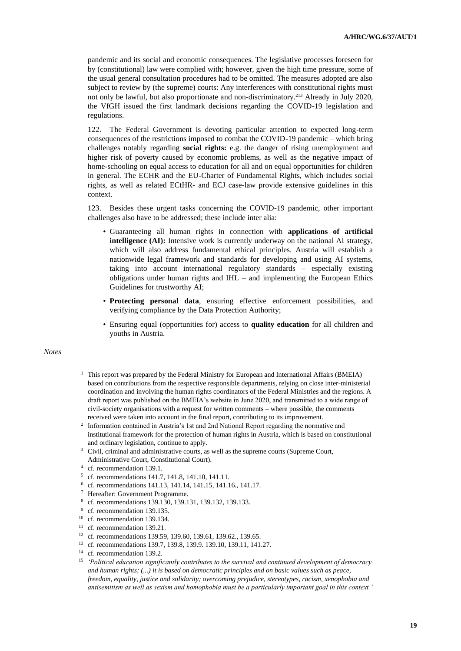pandemic and its social and economic consequences. The legislative processes foreseen for by (constitutional) law were complied with; however, given the high time pressure, some of the usual general consultation procedures had to be omitted. The measures adopted are also subject to review by (the supreme) courts: Any interferences with constitutional rights must not only be lawful, but also proportionate and non-discriminatory.<sup>213</sup> Already in July 2020, the VfGH issued the first landmark decisions regarding the COVID-19 legislation and regulations.

122. The Federal Government is devoting particular attention to expected long-term consequences of the restrictions imposed to combat the COVID-19 pandemic – which bring challenges notably regarding **social rights:** e.g. the danger of rising unemployment and higher risk of poverty caused by economic problems, as well as the negative impact of home-schooling on equal access to education for all and on equal opportunities for children in general. The ECHR and the EU-Charter of Fundamental Rights, which includes social rights, as well as related ECtHR- and ECJ case-law provide extensive guidelines in this context.

123. Besides these urgent tasks concerning the COVID-19 pandemic, other important challenges also have to be addressed; these include inter alia:

- Guaranteeing all human rights in connection with **applications of artificial intelligence (AI):** Intensive work is currently underway on the national AI strategy, which will also address fundamental ethical principles. Austria will establish a nationwide legal framework and standards for developing and using AI systems, taking into account international regulatory standards – especially existing obligations under human rights and IHL – and implementing the European Ethics Guidelines for trustworthy AI;
- **Protecting personal data**, ensuring effective enforcement possibilities, and verifying compliance by the Data Protection Authority;
- Ensuring equal (opportunities for) access to **quality education** for all children and youths in Austria.

## *Notes*

- <sup>1</sup> This report was prepared by the Federal Ministry for European and International Affairs (BMEIA) based on contributions from the respective responsible departments, relying on close inter-ministerial coordination and involving the human rights coordinators of the Federal Ministries and the regions. A draft report was published on the BMEIA's website in June 2020, and transmitted to a wide range of civil-society organisations with a request for written comments – where possible, the comments received were taken into account in the final report, contributing to its improvement.
- <sup>2</sup> Information contained in Austria's 1st and 2nd National Report regarding the normative and institutional framework for the protection of human rights in Austria, which is based on constitutional and ordinary legislation, continue to apply.
- <sup>3</sup> Civil, criminal and administrative courts, as well as the supreme courts (Supreme Court, Administrative Court, Constitutional Court).
- 4 cf. recommendation 139.1.
- 5 cf. recommendations 141.7, 141.8, 141.10, 141.11.
- 6 cf. recommendations 141.13, 141.14, 141.15, 141.16., 141.17.
- <sup>7</sup> Hereafter: Government Programme.
- 8 cf. recommendations 139.130, 139.131, 139.132, 139.133.
- <sup>9</sup> cf. recommendation 139.135.
- <sup>10</sup> cf. recommendation 139.134.
- <sup>11</sup> cf. recommendation 139.21.
- <sup>12</sup> cf. recommendations 139.59, 139.60, 139.61, 139.62., 139.65.
- <sup>13</sup> cf. recommendations 139.7, 139.8, 139.9. 139.10, 139.11, 141.27.
- <sup>14</sup> cf. recommendation 139.2.
- <sup>15</sup> *'Political education significantly contributes to the survival and continued development of democracy and human rights; (...) it is based on democratic principles and on basic values such as peace, freedom, equality, justice and solidarity; overcoming prejudice, stereotypes, racism, xenophobia and antisemitism as well as sexism and homophobia must be a particularly important goal in this context.'*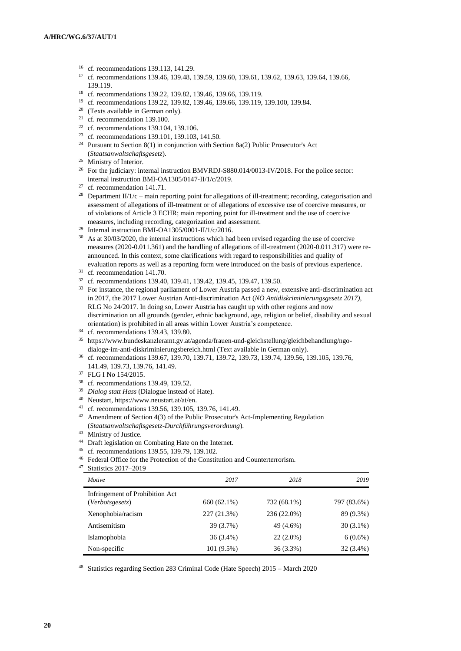- <sup>16</sup> cf. recommendations 139.113, 141.29.
- <sup>17</sup> cf. recommendations 139.46, 139.48, 139.59, 139.60, 139.61, 139.62, 139.63, 139.64, 139.66, 139.119.
- <sup>18</sup> cf. recommendations 139.22, 139.82, 139.46, 139.66, 139.119.
- <sup>19</sup> cf. recommendations 139.22, 139.82, 139.46, 139.66, 139.119, 139.100, 139.84.
- <sup>20</sup> (Texts available in German only).
- <sup>21</sup> cf. recommendation 139.100.
- <sup>22</sup> cf. recommendations 139.104, 139.106.
- <sup>23</sup> cf. recommendations 139.101, 139.103, 141.50.
- <sup>24</sup> Pursuant to Section 8(1) in conjunction with Section 8a(2) Public Prosecutor's Act (*Staatsanwaltschaftsgesetz*).
- <sup>25</sup> Ministry of Interior.
- <sup>26</sup> For the judiciary: internal instruction BMVRDJ-S880.014/0013-IV/2018. For the police sector: internal instruction BMI-OA1305/0147-II/1/c/2019.
- <sup>27</sup> cf. recommendation 141.71.
- <sup>28</sup> Department II/1/c main reporting point for allegations of ill-treatment; recording, categorisation and assessment of allegations of ill-treatment or of allegations of excessive use of coercive measures, or of violations of Article 3 ECHR; main reporting point for ill-treatment and the use of coercive measures, including recording, categorization and assessment.
- <sup>29</sup> Internal instruction BMI-OA1305/0001-II/1/c/2016.
- <sup>30</sup> As at 30/03/2020, the internal instructions which had been revised regarding the use of coercive measures (2020-0.011.361) and the handling of allegations of ill-treatment (2020-0.011.317) were reannounced. In this context, some clarifications with regard to responsibilities and quality of evaluation reports as well as a reporting form were introduced on the basis of previous experience.
- <sup>31</sup> cf. recommendation 141.70.
- <sup>32</sup> cf. recommendations 139.40, 139.41, 139.42, 139.45, 139.47, 139.50.
- <sup>33</sup> For instance, the regional parliament of Lower Austria passed a new, extensive anti-discrimination act in 2017, the 2017 Lower Austrian Anti-discrimination Act (*NÖ Antidiskriminierungsgesetz 2017)*, RLG No 24/2017. In doing so, Lower Austria has caught up with other regions and now discrimination on all grounds (gender, ethnic background, age, religion or belief, disability and sexual orientation) is prohibited in all areas within Lower Austria's competence.
- <sup>34</sup> cf. recommendations 139.43, 139.80.
- <sup>35</sup> [https://www.bundeskanzleramt.gv.at/agenda/frauen-und-gleichstellung/gleichbehandlung/ngo](https://www.bundeskanzleramt.gv.at/agenda/frauen-und-gleichstellung/gleichbehandlung/ngo-dialoge-im-anti-diskriminierungsbereich.html)[dialoge-im-anti-diskriminierungsbereich.html](https://www.bundeskanzleramt.gv.at/agenda/frauen-und-gleichstellung/gleichbehandlung/ngo-dialoge-im-anti-diskriminierungsbereich.html) (Text available in German only).
- <sup>36</sup> cf. recommendations 139.67, 139.70, 139.71, 139.72, 139.73, 139.74, 139.56, 139.105, 139.76, 141.49, 139.73, 139.76, 141.49.
- <sup>37</sup> FLG I No 154/2015.
- <sup>38</sup> cf. recommendations 139.49, 139.52.
- <sup>39</sup> *Dialog statt Hass* (Dialogue instead of Hate).
- <sup>40</sup> Neustart, [https://www.neustart.at/at/en.](https://www.neustart.at/at/en)
- <sup>41</sup> cf. recommendations 139.56, 139.105, 139.76, 141.49.
- <sup>42</sup> Amendment of Section 4(3) of the Public Prosecutor's Act-Implementing Regulation (*Staatsanwaltschaftsgesetz-Durchführungsverordnung*).
- <sup>43</sup> Ministry of Justice.
- <sup>44</sup> Draft legislation on Combating Hate on the Internet.
- <sup>45</sup> cf. recommendations 139.55, 139.79, 139.102.
- <sup>46</sup> Federal Office for the Protection of the Constitution and Counterterrorism.
- <sup>47</sup> Statistics 2017–2019

| Motive                                             | 2017         | 2018        | 2019        |
|----------------------------------------------------|--------------|-------------|-------------|
| Infringement of Prohibition Act<br>(Verbotsgesetz) | 660 (62.1%)  | 732 (68.1%) | 797 (83.6%) |
| Xenophobia/racism                                  | 227 (21.3%)  | 236 (22.0%) | 89 (9.3%)   |
| Antisemitism                                       | 39 (3.7%)    | 49 (4.6%)   | $30(3.1\%)$ |
| Islamophobia                                       | $36(3.4\%)$  | $22(2.0\%)$ | $6(0.6\%)$  |
| Non-specific                                       | $101(9.5\%)$ | 36 (3.3%)   | 32 (3.4%)   |

<sup>48</sup> Statistics regarding Section 283 Criminal Code (Hate Speech) 2015 – March 2020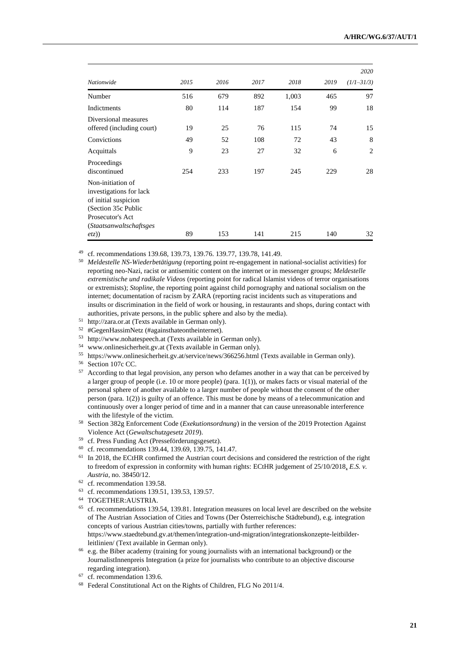|                                                                                                                                                    |      |      |      |       |      | 2020         |
|----------------------------------------------------------------------------------------------------------------------------------------------------|------|------|------|-------|------|--------------|
| Nationwide                                                                                                                                         | 2015 | 2016 | 2017 | 2018  | 2019 | $(1/1-31/3)$ |
| Number                                                                                                                                             | 516  | 679  | 892  | 1,003 | 465  | 97           |
| Indictments                                                                                                                                        | 80   | 114  | 187  | 154   | 99   | 18           |
| Diversional measures<br>offered (including court)                                                                                                  | 19   | 25   | 76   | 115   | 74   | 15           |
| Convictions                                                                                                                                        | 49   | 52   | 108  | 72    | 43   | 8            |
| Acquittals                                                                                                                                         | 9    | 23   | 27   | 32    | 6    | 2            |
| Proceedings<br>discontinued                                                                                                                        | 254  | 233  | 197  | 245   | 229  | 28           |
| Non-initiation of<br>investigations for lack<br>of initial suspicion<br>(Section 35c Public<br>Prosecutor's Act<br><i>(Staatsanwaltschaftsges)</i> |      |      |      |       |      |              |
| etz)                                                                                                                                               | 89   | 153  | 141  | 215   | 140  | 32           |

<sup>49</sup> cf. recommendations 139.68, 139.73, 139.76. 139.77, 139.78, 141.49.

- <sup>50</sup> *Meldestelle NS-Wiederbetätigung* (reporting point re-engagement in national-socialist activities) for reporting neo-Nazi, racist or antisemitic content on the internet or in messenger groups; *Meldestelle extremistische und radikale Videos* (reporting point for radical Islamist videos of terror organisations or extremists); *Stopline*, the reporting point against child pornography and national socialism on the internet; documentation of racism by ZARA (reporting racist incidents such as vituperations and insults or discrimination in the field of work or housing, in restaurants and shops, during contact with authorities, private persons, in the public sphere and also by the media).
- <sup>51</sup> [http://zara.or.at](http://zara.or.at/) (Texts available in German only).
- <sup>52</sup> #GegenHassimNetz (#againsthateontheinternet).
- <sup>53</sup> [http://www.nohatespeech.at](http://www.nohatespeech.at/) (Texts available in German only).
- <sup>54</sup> [www.onlinesicherheit.gv.at](http://www.onlinesicherheit.gv.at/) (Texts available in German only).
- <sup>55</sup> <https://www.onlinesicherheit.gv.at/service/news/366256.html> (Texts available in German only).
- <sup>56</sup> Section 107c CC.
- <sup>57</sup> According to that legal provision, any person who defames another in a way that can be perceived by a larger group of people (i.e. 10 or more people) (para. 1(1)), or makes facts or visual material of the personal sphere of another available to a larger number of people without the consent of the other person (para. 1(2)) is guilty of an offence. This must be done by means of a telecommunication and continuously over a longer period of time and in a manner that can cause unreasonable interference with the lifestyle of the victim.
- <sup>58</sup> Section 382g Enforcement Code (*Exekutionsordnung*) in the version of the 2019 Protection Against Violence Act (*Gewaltschutzgesetz 2019*).
- <sup>59</sup> cf. Press Funding Act (Presseförderungsgesetz).
- <sup>60</sup> cf. recommendations 139.44, 139.69, 139.75, 141.47.
- <sup>61</sup> In 2018, the ECtHR confirmed the Austrian court decisions and considered the restriction of the right to freedom of expression in conformity with human rights: [ECtHR judgement of 25/10/2018,](https://www.humanrights.ch/cms/upload/pdf/2018/181211_CASE_OF_E.S._v._AUSTRIA.pdf) *E.S. v. Austria,* no. 38450/12.
- <sup>62</sup> cf. recommendation 139.58.
- <sup>63</sup> cf. recommendations 139.51, 139.53, 139.57.
- <sup>64</sup> TOGETHER:AUSTRIA.
- <sup>65</sup> cf. recommendations 139.54, 139.81. Integration measures on local level are described on the website of The Austrian Association of Cities and Towns (Der Österreichische Städtebund), e.g. integration concepts of various Austrian cities/towns, partially with further references: [https://www.staedtebund.gv.at/themen/integration-und-migration/integrationskonzepte-leitbilder](https://www.staedtebund.gv.at/themen/integration-und-migration/integrationskonzepte-leitbilder-leitlinien/)[leitlinien/](https://www.staedtebund.gv.at/themen/integration-und-migration/integrationskonzepte-leitbilder-leitlinien/) (Text available in German only).
- <sup>66</sup> e.g. the Biber academy (training for young journalists with an international background) or the JournalistInnenpreis Integration (a prize for journalists who contribute to an objective discourse regarding integration).
- <sup>67</sup> cf. recommendation 139.6.
- <sup>68</sup> Federal Constitutional Act on the Rights of Children, FLG No 2011/4.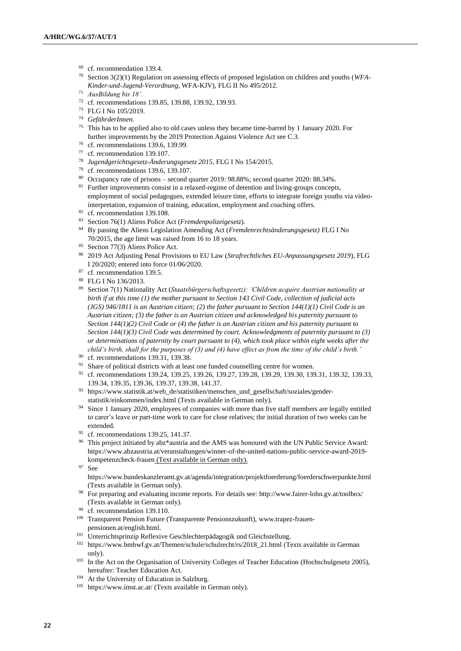- <sup>69</sup> cf. recommendation 139.4.
- <sup>70</sup> Section 3(2)(1) Regulation on assessing effects of proposed legislation on children and youths (*WFA-Kinder-und-Jugend-Verordnung*, WFA-KJV), FLG II No 495/2012.
- <sup>71</sup> *AusBildung bis 18'.*
- <sup>72</sup> cf. recommendations 139.85, 139.88, 139.92, 139.93.
- <sup>73</sup> FLG I No 105/2019.
- <sup>74</sup> *GefährderInnen.*
- <sup>75</sup> This has to be applied also to old cases unless they became time-barred by 1 January 2020. For further improvements by the 2019 Protection Against Violence Act see C.3.
- <sup>76</sup> cf. recommendations 139.6, 139.99.
- <sup>77</sup> cf. recommendation 139.107.
- <sup>78</sup> *Jugendgerichtsgesetz-Änderungsgesetz 2015*, FLG I No 154/2015.
- <sup>79</sup> cf. recommendations 139.6, 139.107.
- <sup>80</sup> Occupancy rate of prisons second quarter 2019: 98.88%; second quarter 2020: 88.34%.
- <sup>81</sup> Further improvements consist in a relaxed-regime of detention and living-groups concepts, employment of social pedagogues, extended leisure time, efforts to integrate foreign youths via videointerpretation, expansion of training, education, employment and coaching offers.
- <sup>82</sup> cf. recommendation 139.108.
- <sup>83</sup> Section 76(1) Aliens Police Act (*Fremdenpolizeigesetz*).
- <sup>84</sup> By passing the Aliens Legislation Amending Act (*Fremdenrechtsänderungsgesetz)* FLG I No 70/2015, the age limit was raised from 16 to 18 years.
- <sup>85</sup> Section 77(3) Aliens Police Act.
- <sup>86</sup> 2019 Act Adjusting Penal Provisions to EU Law (*Strafrechtliches EU-Anpassungsgesetz 2019*), FLG I 20/2020; entered into force 01/06/2020.
- <sup>87</sup> cf. recommendation 139.5.
- <sup>88</sup> FLG I No 136/2013.
- <sup>89</sup> Section 7(1) Nationality Act (*Staatsbürgerschaftsgesetz): 'Children acquire Austrian nationality at birth if at this time (1) the mother pursuant to Section 143 Civil Code, collection of judicial acts (JGS) 946/1811 is an Austrian citizen; (2) the father pursuant to Section 144(1)(1) Civil Code is an Austrian citizen; (3) the father is an Austrian citizen and acknowledged his paternity pursuant to Section 144(1)(2) Civil Code or (4) the father is an Austrian citizen and his paternity pursuant to Section 144(1)(3) Civil Code was determined by court. Acknowledgments of paternity pursuant to (3) or determinations of paternity by court pursuant to (4), which took place within eight weeks after the child's birth, shall for the purposes of (3) and (4) have effect as from the time of the child's birth.'*
- <sup>90</sup> cf. recommendations 139.31, 139.38.
- <sup>91</sup> Share of political districts with at least one funded counselling centre for women.
- 92 cf. recommendations 139.24, 139.25, 139.26, 139.27, 139.28, 139.29, 139.30, 139.31, 139.32, 139.33, 139.34, 139.35, 139.36, 139.37, 139.38, 141.37.
- $^{93}$ [https://www.statistik.at/web\\_de/statistiken/menschen\\_und\\_gesellschaft/soziales/gender](https://www.statistik.at/web_de/statistiken/menschen_und_gesellschaft/soziales/gender-statistik/einkommen/index.html)[statistik/einkommen/index.html](https://www.statistik.at/web_de/statistiken/menschen_und_gesellschaft/soziales/gender-statistik/einkommen/index.html) (Texts available in German only).
- <sup>94</sup> Since 1 January 2020, employees of companies with more than five staff members are legally entitled to carer's leave or part-time work to care for close relatives; the initial duration of two weeks can be extended.
- <sup>95</sup> cf. recommendations 139.25, 141.37.
- <sup>96</sup> This project initiated by abz\*austria and the AMS was honoured with the UN Public Service Award: [https://www.abzaustria.at/veranstaltungen/winner-of-the-united-nations-public-service-award-2019](https://www.abzaustria.at/veranstaltungen/winner-of-the-united-nations-public-service-award-2019-kompetenzcheck-frauen) [kompetenzcheck-frauen](https://www.abzaustria.at/veranstaltungen/winner-of-the-united-nations-public-service-award-2019-kompetenzcheck-frauen) (Text available in German only).
- <sup>97</sup> See

<https://www.bundeskanzleramt.gv.at/agenda/integration/projektfoerderung/foerderschwerpunkte.html> (Texts available in German only).

- <sup>98</sup> For preparing and evaluating income reports. For details see:<http://www.fairer-lohn.gv.at/toolbox/> (Texts available in German only).
- <sup>99</sup> cf. recommendation 139.110.
- <sup>100</sup> Transparent Pension Future (Transparente Pensionszukunft), [www.trapez-frauen](https://www.trapez-frauen-pensionen.at/english.html)[pensionen.at/english.html.](https://www.trapez-frauen-pensionen.at/english.html)
- <sup>101</sup> Unterrichtsprinzip Reflexive Geschlechterpädagogik und Gleichstellung.
- <sup>102</sup> [https://www.bmbwf.gv.at/Themen/schule/schulrecht/rs/2018\\_21.html](https://www.bmbwf.gv.at/Themen/schule/schulrecht/rs/2018_21.html) (Texts available in German only).
- <sup>103</sup> In the Act on the Organisation of University Colleges of Teacher Education (Hochschulgesetz 2005), hereafter: Teacher Education Act.
- <sup>104</sup> At the University of Education in Salzburg.
- <sup>105</sup> https://www.imst.ac.at/ (Texts available in German only).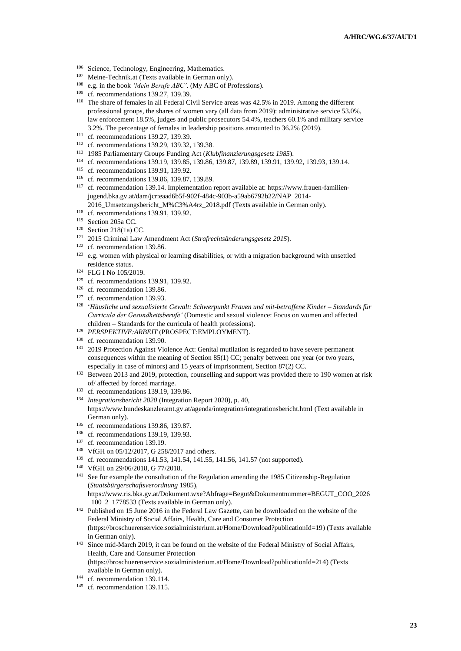- <sup>106</sup> Science, Technology, Engineering, Mathematics.
- <sup>107</sup> Meine-Technik.at (Texts available in German only).
- <sup>108</sup> e.g. in the book *'Mein Berufe ABC'*. (My ABC of Professions).
- <sup>109</sup> cf. recommendations 139.27, 139.39.
- <sup>110</sup> The share of females in all Federal Civil Service areas was 42.5% in 2019. Among the different professional groups, the shares of women vary (all data from 2019): administrative service 53.0%, law enforcement 18.5%, judges and public prosecutors 54.4%, teachers 60.1% and military service 3.2%. The percentage of females in leadership positions amounted to 36.2% (2019).
- <sup>111</sup> cf. recommendations 139.27, 139.39.
- <sup>112</sup> cf. recommendations 139.29, 139.32, 139.38.
- <sup>113</sup> 1985 Parliamentary Groups Funding Act (*Klubfinanzierungsgesetz 1985*).
- <sup>114</sup> cf. recommendations 139.19, 139.85, 139.86, 139.87, 139.89, 139.91, 139.92, 139.93, 139.14.
- <sup>115</sup> cf. recommendations 139.91, 139.92.
- <sup>116</sup> cf. recommendations 139.86, 139.87, 139.89.
- <sup>117</sup> cf. recommendation 139.14. Implementation report available at: [https://www.frauen-familien](https://www.frauen-familien-jugend.bka.gv.at/dam/jcr:eaad6b5f-902f-484c-903b-a59ab6792b22/NAP_2014-2016_Umsetzungsbericht_M%C3%A4rz_2018.pdf)[jugend.bka.gv.at/dam/jcr:eaad6b5f-902f-484c-903b-a59ab6792b22/NAP\\_2014-](https://www.frauen-familien-jugend.bka.gv.at/dam/jcr:eaad6b5f-902f-484c-903b-a59ab6792b22/NAP_2014-2016_Umsetzungsbericht_M%C3%A4rz_2018.pdf) [2016\\_Umsetzungsbericht\\_M%C3%A4rz\\_2018.pdf](https://www.frauen-familien-jugend.bka.gv.at/dam/jcr:eaad6b5f-902f-484c-903b-a59ab6792b22/NAP_2014-2016_Umsetzungsbericht_M%C3%A4rz_2018.pdf) (Texts available in German only).
- <sup>118</sup> cf. recommendations 139.91, 139.92.
- <sup>119</sup> Section 205a CC.
- <sup>120</sup> Section 218(1a) CC.
- <sup>121</sup> 2015 Criminal Law Amendment Act (*Strafrechtsänderungsgesetz 2015*).
- <sup>122</sup> cf. recommendation 139.86.
- <sup>123</sup> e.g. women with physical or learning disabilities, or with a migration background with unsettled residence status.
- <sup>124</sup> FLG I No 105/2019.
- <sup>125</sup> cf. recommendations 139.91, 139.92.
- <sup>126</sup> cf. recommendation 139.86.
- <sup>127</sup> cf. recommendation 139.93.
- 128 '*Häusliche und sexualisierte Gewalt: Schwerpunkt Frauen und mit-betroffene Kinder – Standards für Curricula der Gesundheitsberufe'* (Domestic and sexual violence: Focus on women and affected children – Standards for the curricula of health professions).
- <sup>129</sup> *PERSPEKTIVE:ARBEIT* (PROSPECT:EMPLOYMENT).
- <sup>130</sup> cf. recommendation 139.90.
- <sup>131</sup> 2019 Protection Against Violence Act: Genital mutilation is regarded to have severe permanent consequences within the meaning of Section 85(1) CC; penalty between one year (or two years, especially in case of minors) and 15 years of imprisonment, Section 87(2) CC.
- <sup>132</sup> Between 2013 and 2019, protection, counselling and support was provided there to 190 women at risk of/ affected by forced marriage.
- <sup>133</sup> cf. recommendations 139.19, 139.86.
- <sup>134</sup> *Integrationsbericht 2020* (Integration Report 2020), p. 40, <https://www.bundeskanzleramt.gv.at/agenda/integration/integrationsbericht.html> (Text available in German only).
- <sup>135</sup> cf. recommendations 139.86, 139.87.
- <sup>136</sup> cf. recommendations 139.19, 139.93.
- <sup>137</sup> cf. recommendation 139.19.
- <sup>138</sup> VfGH on 05/12/2017, G 258/2017 and others.
- <sup>139</sup> cf. recommendations 141.53, 141.54, 141.55, 141.56, 141.57 (not supported).
- <sup>140</sup> VfGH on 29/06/2018, G 77/2018.
- <sup>141</sup> See for example the consultation of the Regulation amending the 1985 Citizenship-Regulation (*Staatsbürgerschaftsverordnung* 1985), [https://www.ris.bka.gv.at/Dokument.wxe?Abfrage=Begut&Dokumentnummer=BEGUT\\_COO\\_2026](https://www.ris.bka.gv.at/Dokument.wxe?Abfrage=Begut&amp;Dokumentnummer=BEGUT_COO_2026_100_2_1778533) [\\_100\\_2\\_1778533](https://www.ris.bka.gv.at/Dokument.wxe?Abfrage=Begut&amp;Dokumentnummer=BEGUT_COO_2026_100_2_1778533) (Texts available in German only).
- <sup>142</sup> Published on 15 June 2016 in the Federal Law Gazette, can be downloaded on the website of the Federal Ministry of Social Affairs, Health, Care and Consumer Protection [\(https://broschuerenservice.sozialministerium.at/Home/Download?publicationId=19\)](https://broschuerenservice.sozialministerium.at/Home/Download?publicationId=19) (Texts available in German only).
- <sup>143</sup> Since mid-March 2019, it can be found on the website of the Federal Ministry of Social Affairs, Health, Care and Consumer Protection [\(https://broschuerenservice.sozialministerium.at/Home/Download?publicationId=214\)](https://broschuerenservice.sozialministerium.at/Home/Download?publicationId=214) (Texts available in German only).
- <sup>144</sup> cf. recommendation 139.114.
- <sup>145</sup> cf. recommendation 139.115.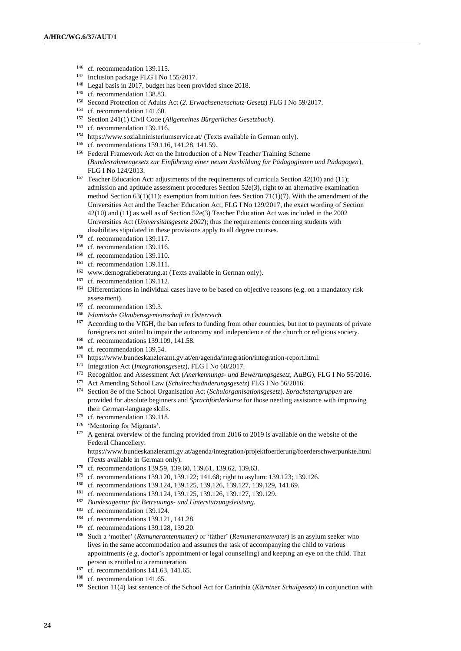- <sup>146</sup> cf. recommendation 139.115.
- <sup>147</sup> Inclusion package FLG I No 155/2017.
- <sup>148</sup> Legal basis in 2017, budget has been provided since 2018.
- <sup>149</sup> cf. recommendation 138.83.
- <sup>150</sup> Second Protection of Adults Act (*2. Erwachsenenschutz-Gesetz*) FLG I No 59/2017.
- <sup>151</sup> cf. recommendation 141.60.
- <sup>152</sup> Section 241(1) Civil Code (*Allgemeines Bürgerliches Gesetzbuch*).
- <sup>153</sup> cf. recommendation 139.116.
- <sup>154</sup> <https://www.sozialministeriumservice.at/> (Texts available in German only).
- <sup>155</sup> cf. recommendations 139.116, 141.28, 141.59.
- <sup>156</sup> Federal Framework Act on the Introduction of a New Teacher Training Scheme (*Bundesrahmengesetz zur Einführung einer neuen Ausbildung für Pädagoginnen und Pädagogen*), FLG I No 124/2013.
- <sup>157</sup> Teacher Education Act: adjustments of the requirements of curricula Section 42(10) and (11); admission and aptitude assessment procedures Section 52e(3), right to an alternative examination method Section 63(1)(11); exemption from tuition fees Section 71(1)(7). With the amendment of the Universities Act and the Teacher Education Act, FLG I No 129/2017, the exact wording of Section 42(10) and (11) as well as of Section 52e(3) Teacher Education Act was included in the 2002 Universities Act (*Universitätsgesetz 2002*); thus the requirements concerning students with disabilities stipulated in these provisions apply to all degree courses.
- <sup>158</sup> cf. recommendation 139.117.
- <sup>159</sup> cf. recommendation 139.116.
- <sup>160</sup> cf. recommendation 139.110.
- <sup>161</sup> cf. recommendation 139.111.
- <sup>162</sup> [www.demografieberatung.at](http://www.demografieberatung.at/) (Texts available in German only).
- <sup>163</sup> cf. recommendation 139.112.
- <sup>164</sup> Differentiations in individual cases have to be based on objective reasons (e.g. on a mandatory risk assessment).
- <sup>165</sup> cf. recommendation 139.3.
- <sup>166</sup> *Islamische Glaubensgemeinschaft in Österreich.*
- <sup>167</sup> According to the VfGH, the ban refers to funding from other countries, but not to payments of private foreigners not suited to impair the autonomy and independence of the church or religious society.
- <sup>168</sup> cf. recommendations 139.109, 141.58.
- <sup>169</sup> cf. recommendation 139.54.
- <sup>170</sup> [https://www.bundeskanzleramt.gv.at/en/agenda/integration/integration-report.html.](https://www.bundeskanzleramt.gv.at/en/agenda/integration/integration-report.html)
- <sup>171</sup> Integration Act (*Integrationsgesetz*), FLG I No 68/2017.
- <sup>172</sup> Recognition and Assessment Act (*Anerkennungs- und Bewertungsgesetz,* AuBG), FLG I No 55/2016.
- <sup>173</sup> Act Amending School Law (*Schulrechtsänderungsgesetz*) FLG I No 56/2016.
- <sup>174</sup> Section 8e of the School Organisation Act (*Schulorganisationsgesetz*). *Sprachstartgruppen* are provided for absolute beginners and *Sprachförderkurse* for those needing assistance with improving their German-language skills.
- <sup>175</sup> cf. recommendation 139.118.
- <sup>176</sup> 'Mentoring for Migrants'.
- <sup>177</sup> A general overview of the funding provided from 2016 to 2019 is available on the website of the Federal Chancellery:

<https://www.bundeskanzleramt.gv.at/agenda/integration/projektfoerderung/foerderschwerpunkte.html> (Texts available in German only).

- <sup>178</sup> cf. recommendations 139.59, 139.60, 139.61, 139.62, 139.63.
- <sup>179</sup> cf. recommendations 139.120, 139.122; 141.68; right to asylum: 139.123; 139.126.
- <sup>180</sup> cf. recommendations 139.124, 139.125, 139.126, 139.127, 139.129, 141.69.
- <sup>181</sup> cf. recommendations 139.124, 139.125, 139.126, 139.127, 139.129.
- <sup>182</sup> *Bundesagentur für Betreuungs- und Unterstützungsleistung.*
- <sup>183</sup> cf. recommendation 139.124.
- <sup>184</sup> cf. recommendations 139.121, 141.28.
- <sup>185</sup> cf. recommendations 139.128, 139.20.
- <sup>186</sup> Such a 'mother' (*Remunerantenmutter)* or 'father' (*Remunerantenvater*) is an asylum seeker who lives in the same accommodation and assumes the task of accompanying the child to various appointments (e.g. doctor's appointment or legal counselling) and keeping an eye on the child. That person is entitled to a remuneration.
- <sup>187</sup> cf. recommendations 141.63, 141.65.
- <sup>188</sup> cf. recommendation 141.65.
- <sup>189</sup> Section 11(4) last sentence of the School Act for Carinthia (*Kärntner Schulgesetz*) in conjunction with